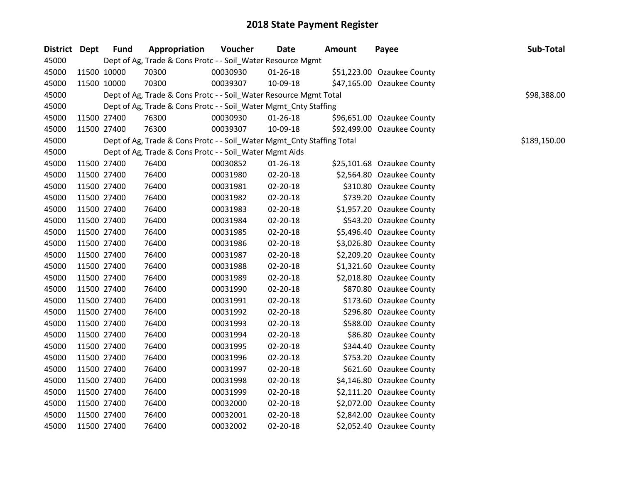| District Dept | <b>Fund</b> | Appropriation                                                          | Voucher  | Date           | <b>Amount</b> | Payee                      | Sub-Total    |
|---------------|-------------|------------------------------------------------------------------------|----------|----------------|---------------|----------------------------|--------------|
| 45000         |             | Dept of Ag, Trade & Cons Protc - - Soil_Water Resource Mgmt            |          |                |               |                            |              |
| 45000         | 11500 10000 | 70300                                                                  | 00030930 | 01-26-18       |               | \$51,223.00 Ozaukee County |              |
| 45000         | 11500 10000 | 70300                                                                  | 00039307 | 10-09-18       |               | \$47,165.00 Ozaukee County |              |
| 45000         |             | Dept of Ag, Trade & Cons Protc - - Soil_Water Resource Mgmt Total      |          |                |               |                            | \$98,388.00  |
| 45000         |             | Dept of Ag, Trade & Cons Protc - - Soil_Water Mgmt_Cnty Staffing       |          |                |               |                            |              |
| 45000         | 11500 27400 | 76300                                                                  | 00030930 | $01 - 26 - 18$ |               | \$96,651.00 Ozaukee County |              |
| 45000         | 11500 27400 | 76300                                                                  | 00039307 | 10-09-18       |               | \$92,499.00 Ozaukee County |              |
| 45000         |             | Dept of Ag, Trade & Cons Protc - - Soil_Water Mgmt_Cnty Staffing Total |          |                |               |                            | \$189,150.00 |
| 45000         |             | Dept of Ag, Trade & Cons Protc - - Soil_Water Mgmt Aids                |          |                |               |                            |              |
| 45000         | 11500 27400 | 76400                                                                  | 00030852 | 01-26-18       |               | \$25,101.68 Ozaukee County |              |
| 45000         | 11500 27400 | 76400                                                                  | 00031980 | 02-20-18       |               | \$2,564.80 Ozaukee County  |              |
| 45000         | 11500 27400 | 76400                                                                  | 00031981 | 02-20-18       |               | \$310.80 Ozaukee County    |              |
| 45000         | 11500 27400 | 76400                                                                  | 00031982 | 02-20-18       |               | \$739.20 Ozaukee County    |              |
| 45000         | 11500 27400 | 76400                                                                  | 00031983 | 02-20-18       |               | \$1,957.20 Ozaukee County  |              |
| 45000         | 11500 27400 | 76400                                                                  | 00031984 | 02-20-18       |               | \$543.20 Ozaukee County    |              |
| 45000         | 11500 27400 | 76400                                                                  | 00031985 | 02-20-18       |               | \$5,496.40 Ozaukee County  |              |
| 45000         | 11500 27400 | 76400                                                                  | 00031986 | $02 - 20 - 18$ |               | \$3,026.80 Ozaukee County  |              |
| 45000         | 11500 27400 | 76400                                                                  | 00031987 | 02-20-18       |               | \$2,209.20 Ozaukee County  |              |
| 45000         | 11500 27400 | 76400                                                                  | 00031988 | 02-20-18       |               | \$1,321.60 Ozaukee County  |              |
| 45000         | 11500 27400 | 76400                                                                  | 00031989 | 02-20-18       |               | \$2,018.80 Ozaukee County  |              |
| 45000         | 11500 27400 | 76400                                                                  | 00031990 | 02-20-18       |               | \$870.80 Ozaukee County    |              |
| 45000         | 11500 27400 | 76400                                                                  | 00031991 | 02-20-18       |               | \$173.60 Ozaukee County    |              |
| 45000         | 11500 27400 | 76400                                                                  | 00031992 | 02-20-18       |               | \$296.80 Ozaukee County    |              |
| 45000         | 11500 27400 | 76400                                                                  | 00031993 | 02-20-18       |               | \$588.00 Ozaukee County    |              |
| 45000         | 11500 27400 | 76400                                                                  | 00031994 | 02-20-18       |               | \$86.80 Ozaukee County     |              |
| 45000         | 11500 27400 | 76400                                                                  | 00031995 | 02-20-18       |               | \$344.40 Ozaukee County    |              |
| 45000         | 11500 27400 | 76400                                                                  | 00031996 | 02-20-18       |               | \$753.20 Ozaukee County    |              |
| 45000         | 11500 27400 | 76400                                                                  | 00031997 | 02-20-18       |               | \$621.60 Ozaukee County    |              |
| 45000         | 11500 27400 | 76400                                                                  | 00031998 | 02-20-18       |               | \$4,146.80 Ozaukee County  |              |
| 45000         | 11500 27400 | 76400                                                                  | 00031999 | 02-20-18       |               | \$2,111.20 Ozaukee County  |              |
| 45000         | 11500 27400 | 76400                                                                  | 00032000 | 02-20-18       |               | \$2,072.00 Ozaukee County  |              |
| 45000         | 11500 27400 | 76400                                                                  | 00032001 | 02-20-18       |               | \$2,842.00 Ozaukee County  |              |
| 45000         | 11500 27400 | 76400                                                                  | 00032002 | 02-20-18       |               | \$2,052.40 Ozaukee County  |              |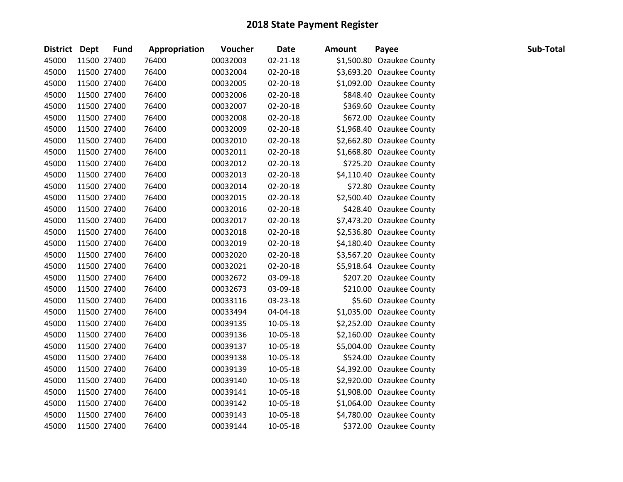| District Dept | <b>Fund</b> | Appropriation | Voucher  | <b>Date</b>    | <b>Amount</b> | Payee                     | Sub-Total |
|---------------|-------------|---------------|----------|----------------|---------------|---------------------------|-----------|
| 45000         | 11500 27400 | 76400         | 00032003 | 02-21-18       |               | \$1,500.80 Ozaukee County |           |
| 45000         | 11500 27400 | 76400         | 00032004 | 02-20-18       |               | \$3,693.20 Ozaukee County |           |
| 45000         | 11500 27400 | 76400         | 00032005 | 02-20-18       |               | \$1,092.00 Ozaukee County |           |
| 45000         | 11500 27400 | 76400         | 00032006 | 02-20-18       |               | \$848.40 Ozaukee County   |           |
| 45000         | 11500 27400 | 76400         | 00032007 | 02-20-18       |               | \$369.60 Ozaukee County   |           |
| 45000         | 11500 27400 | 76400         | 00032008 | 02-20-18       |               | \$672.00 Ozaukee County   |           |
| 45000         | 11500 27400 | 76400         | 00032009 | 02-20-18       |               | \$1,968.40 Ozaukee County |           |
| 45000         | 11500 27400 | 76400         | 00032010 | 02-20-18       |               | \$2,662.80 Ozaukee County |           |
| 45000         | 11500 27400 | 76400         | 00032011 | 02-20-18       |               | \$1,668.80 Ozaukee County |           |
| 45000         | 11500 27400 | 76400         | 00032012 | 02-20-18       |               | \$725.20 Ozaukee County   |           |
| 45000         | 11500 27400 | 76400         | 00032013 | 02-20-18       |               | \$4,110.40 Ozaukee County |           |
| 45000         | 11500 27400 | 76400         | 00032014 | 02-20-18       |               | \$72.80 Ozaukee County    |           |
| 45000         | 11500 27400 | 76400         | 00032015 | $02 - 20 - 18$ |               | \$2,500.40 Ozaukee County |           |
| 45000         | 11500 27400 | 76400         | 00032016 | 02-20-18       |               | \$428.40 Ozaukee County   |           |
| 45000         | 11500 27400 | 76400         | 00032017 | 02-20-18       |               | \$7,473.20 Ozaukee County |           |
| 45000         | 11500 27400 | 76400         | 00032018 | 02-20-18       |               | \$2,536.80 Ozaukee County |           |
| 45000         | 11500 27400 | 76400         | 00032019 | 02-20-18       |               | \$4,180.40 Ozaukee County |           |
| 45000         | 11500 27400 | 76400         | 00032020 | 02-20-18       |               | \$3,567.20 Ozaukee County |           |
| 45000         | 11500 27400 | 76400         | 00032021 | 02-20-18       |               | \$5,918.64 Ozaukee County |           |
| 45000         | 11500 27400 | 76400         | 00032672 | 03-09-18       |               | \$207.20 Ozaukee County   |           |
| 45000         | 11500 27400 | 76400         | 00032673 | 03-09-18       |               | \$210.00 Ozaukee County   |           |
| 45000         | 11500 27400 | 76400         | 00033116 | 03-23-18       |               | \$5.60 Ozaukee County     |           |
| 45000         | 11500 27400 | 76400         | 00033494 | 04-04-18       |               | \$1,035.00 Ozaukee County |           |
| 45000         | 11500 27400 | 76400         | 00039135 | 10-05-18       |               | \$2,252.00 Ozaukee County |           |
| 45000         | 11500 27400 | 76400         | 00039136 | 10-05-18       |               | \$2,160.00 Ozaukee County |           |
| 45000         | 11500 27400 | 76400         | 00039137 | 10-05-18       |               | \$5,004.00 Ozaukee County |           |
| 45000         | 11500 27400 | 76400         | 00039138 | 10-05-18       |               | \$524.00 Ozaukee County   |           |
| 45000         | 11500 27400 | 76400         | 00039139 | 10-05-18       |               | \$4,392.00 Ozaukee County |           |
| 45000         | 11500 27400 | 76400         | 00039140 | 10-05-18       |               | \$2,920.00 Ozaukee County |           |
| 45000         | 11500 27400 | 76400         | 00039141 | 10-05-18       |               | \$1,908.00 Ozaukee County |           |
| 45000         | 11500 27400 | 76400         | 00039142 | 10-05-18       |               | \$1,064.00 Ozaukee County |           |
| 45000         | 11500 27400 | 76400         | 00039143 | 10-05-18       |               | \$4,780.00 Ozaukee County |           |
| 45000         | 11500 27400 | 76400         | 00039144 | 10-05-18       |               | \$372.00 Ozaukee County   |           |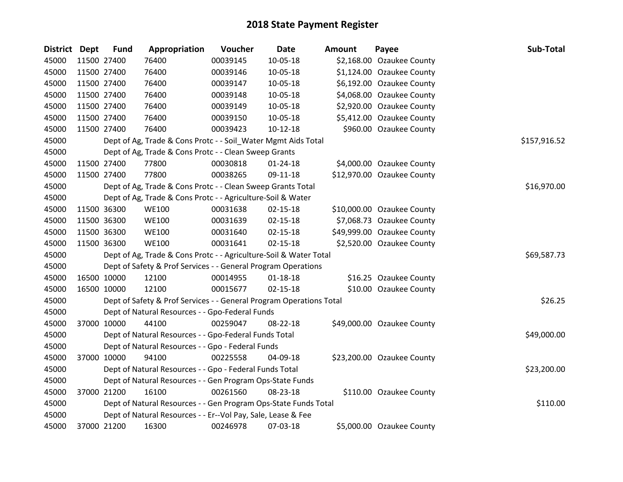| District Dept | <b>Fund</b> | Appropriation                                                       | Voucher  | <b>Date</b>    | <b>Amount</b> | Payee                      | Sub-Total    |
|---------------|-------------|---------------------------------------------------------------------|----------|----------------|---------------|----------------------------|--------------|
| 45000         | 11500 27400 | 76400                                                               | 00039145 | 10-05-18       |               | \$2,168.00 Ozaukee County  |              |
| 45000         | 11500 27400 | 76400                                                               | 00039146 | 10-05-18       |               | \$1,124.00 Ozaukee County  |              |
| 45000         | 11500 27400 | 76400                                                               | 00039147 | 10-05-18       |               | \$6,192.00 Ozaukee County  |              |
| 45000         | 11500 27400 | 76400                                                               | 00039148 | 10-05-18       |               | \$4,068.00 Ozaukee County  |              |
| 45000         | 11500 27400 | 76400                                                               | 00039149 | 10-05-18       |               | \$2,920.00 Ozaukee County  |              |
| 45000         | 11500 27400 | 76400                                                               | 00039150 | 10-05-18       |               | \$5,412.00 Ozaukee County  |              |
| 45000         | 11500 27400 | 76400                                                               | 00039423 | $10-12-18$     |               | \$960.00 Ozaukee County    |              |
| 45000         |             | Dept of Ag, Trade & Cons Protc - - Soil_Water Mgmt Aids Total       |          |                |               |                            | \$157,916.52 |
| 45000         |             | Dept of Ag, Trade & Cons Protc - - Clean Sweep Grants               |          |                |               |                            |              |
| 45000         | 11500 27400 | 77800                                                               | 00030818 | $01 - 24 - 18$ |               | \$4,000.00 Ozaukee County  |              |
| 45000         | 11500 27400 | 77800                                                               | 00038265 | 09-11-18       |               | \$12,970.00 Ozaukee County |              |
| 45000         |             | Dept of Ag, Trade & Cons Protc - - Clean Sweep Grants Total         |          |                |               |                            | \$16,970.00  |
| 45000         |             | Dept of Ag, Trade & Cons Protc - - Agriculture-Soil & Water         |          |                |               |                            |              |
| 45000         | 11500 36300 | <b>WE100</b>                                                        | 00031638 | $02 - 15 - 18$ |               | \$10,000.00 Ozaukee County |              |
| 45000         | 11500 36300 | <b>WE100</b>                                                        | 00031639 | $02 - 15 - 18$ |               | \$7,068.73 Ozaukee County  |              |
| 45000         | 11500 36300 | <b>WE100</b>                                                        | 00031640 | $02 - 15 - 18$ |               | \$49,999.00 Ozaukee County |              |
| 45000         | 11500 36300 | <b>WE100</b>                                                        | 00031641 | $02 - 15 - 18$ |               | \$2,520.00 Ozaukee County  |              |
| 45000         |             | Dept of Ag, Trade & Cons Protc - - Agriculture-Soil & Water Total   |          |                |               |                            | \$69,587.73  |
| 45000         |             | Dept of Safety & Prof Services - - General Program Operations       |          |                |               |                            |              |
| 45000         | 16500 10000 | 12100                                                               | 00014955 | $01 - 18 - 18$ |               | \$16.25 Ozaukee County     |              |
| 45000         | 16500 10000 | 12100                                                               | 00015677 | $02 - 15 - 18$ |               | \$10.00 Ozaukee County     |              |
| 45000         |             | Dept of Safety & Prof Services - - General Program Operations Total |          |                |               |                            | \$26.25      |
| 45000         |             | Dept of Natural Resources - - Gpo-Federal Funds                     |          |                |               |                            |              |
| 45000         | 37000 10000 | 44100                                                               | 00259047 | 08-22-18       |               | \$49,000.00 Ozaukee County |              |
| 45000         |             | Dept of Natural Resources - - Gpo-Federal Funds Total               |          |                |               |                            | \$49,000.00  |
| 45000         |             | Dept of Natural Resources - - Gpo - Federal Funds                   |          |                |               |                            |              |
| 45000         | 37000 10000 | 94100                                                               | 00225558 | 04-09-18       |               | \$23,200.00 Ozaukee County |              |
| 45000         |             | Dept of Natural Resources - - Gpo - Federal Funds Total             |          |                |               |                            | \$23,200.00  |
| 45000         |             | Dept of Natural Resources - - Gen Program Ops-State Funds           |          |                |               |                            |              |
| 45000         | 37000 21200 | 16100                                                               | 00261560 | 08-23-18       |               | \$110.00 Ozaukee County    |              |
| 45000         |             | Dept of Natural Resources - - Gen Program Ops-State Funds Total     |          |                |               |                            | \$110.00     |
| 45000         |             | Dept of Natural Resources - - Er--Vol Pay, Sale, Lease & Fee        |          |                |               |                            |              |
| 45000         | 37000 21200 | 16300                                                               | 00246978 | 07-03-18       |               | \$5,000.00 Ozaukee County  |              |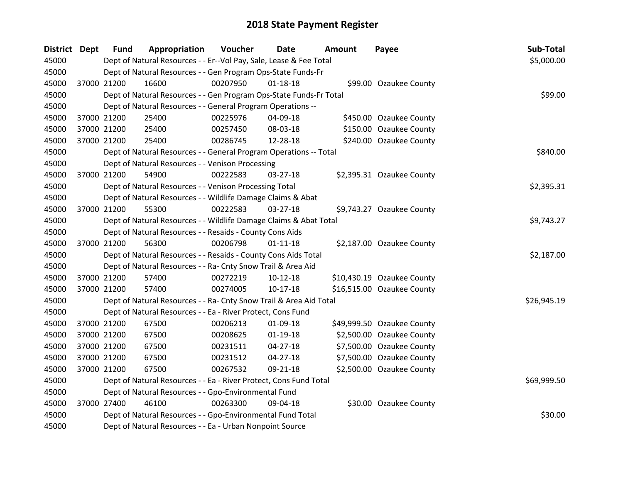| <b>District Dept</b> | <b>Fund</b> | Appropriation                                                      | Voucher    | Date           | <b>Amount</b> | Payee                      | Sub-Total   |  |
|----------------------|-------------|--------------------------------------------------------------------|------------|----------------|---------------|----------------------------|-------------|--|
| 45000                |             | Dept of Natural Resources - - Er--Vol Pay, Sale, Lease & Fee Total |            |                |               |                            | \$5,000.00  |  |
| 45000                |             | Dept of Natural Resources - - Gen Program Ops-State Funds-Fr       |            |                |               |                            |             |  |
| 45000                | 37000 21200 | 16600                                                              | 00207950   | $01 - 18 - 18$ |               | \$99.00 Ozaukee County     |             |  |
| 45000                |             | Dept of Natural Resources - - Gen Program Ops-State Funds-Fr Total |            |                |               |                            | \$99.00     |  |
| 45000                |             | Dept of Natural Resources - - General Program Operations --        |            |                |               |                            |             |  |
| 45000                | 37000 21200 | 25400                                                              | 00225976   | 04-09-18       |               | \$450.00 Ozaukee County    |             |  |
| 45000                | 37000 21200 | 25400                                                              | 00257450   | 08-03-18       |               | \$150.00 Ozaukee County    |             |  |
| 45000                | 37000 21200 | 25400                                                              | 00286745   | 12-28-18       |               | \$240.00 Ozaukee County    |             |  |
| 45000                |             | Dept of Natural Resources - - General Program Operations -- Total  |            |                |               |                            |             |  |
| 45000                |             | Dept of Natural Resources - - Venison Processing                   |            |                |               |                            |             |  |
| 45000                | 37000 21200 | 54900                                                              | 00222583   | $03 - 27 - 18$ |               | \$2,395.31 Ozaukee County  |             |  |
| 45000                |             | Dept of Natural Resources - - Venison Processing Total             |            |                |               |                            | \$2,395.31  |  |
| 45000                |             | Dept of Natural Resources - - Wildlife Damage Claims & Abat        |            |                |               |                            |             |  |
| 45000                | 37000 21200 | 55300                                                              | 00222583   | 03-27-18       |               | \$9,743.27 Ozaukee County  |             |  |
| 45000                |             | Dept of Natural Resources - - Wildlife Damage Claims & Abat Total  | \$9,743.27 |                |               |                            |             |  |
| 45000                |             | Dept of Natural Resources - - Resaids - County Cons Aids           |            |                |               |                            |             |  |
| 45000                | 37000 21200 | 56300                                                              | 00206798   | $01 - 11 - 18$ |               | \$2,187.00 Ozaukee County  |             |  |
| 45000                |             | Dept of Natural Resources - - Resaids - County Cons Aids Total     |            |                |               |                            | \$2,187.00  |  |
| 45000                |             | Dept of Natural Resources - - Ra- Cnty Snow Trail & Area Aid       |            |                |               |                            |             |  |
| 45000                | 37000 21200 | 57400                                                              | 00272219   | 10-12-18       |               | \$10,430.19 Ozaukee County |             |  |
| 45000                | 37000 21200 | 57400                                                              | 00274005   | $10-17-18$     |               | \$16,515.00 Ozaukee County |             |  |
| 45000                |             | Dept of Natural Resources - - Ra- Cnty Snow Trail & Area Aid Total |            |                |               |                            | \$26,945.19 |  |
| 45000                |             | Dept of Natural Resources - - Ea - River Protect, Cons Fund        |            |                |               |                            |             |  |
| 45000                | 37000 21200 | 67500                                                              | 00206213   | 01-09-18       |               | \$49,999.50 Ozaukee County |             |  |
| 45000                | 37000 21200 | 67500                                                              | 00208625   | $01-19-18$     |               | \$2,500.00 Ozaukee County  |             |  |
| 45000                | 37000 21200 | 67500                                                              | 00231511   | $04 - 27 - 18$ |               | \$7,500.00 Ozaukee County  |             |  |
| 45000                | 37000 21200 | 67500                                                              | 00231512   | $04 - 27 - 18$ |               | \$7,500.00 Ozaukee County  |             |  |
| 45000                | 37000 21200 | 67500                                                              | 00267532   | 09-21-18       |               | \$2,500.00 Ozaukee County  |             |  |
| 45000                |             | Dept of Natural Resources - - Ea - River Protect, Cons Fund Total  |            |                |               |                            | \$69,999.50 |  |
| 45000                |             | Dept of Natural Resources - - Gpo-Environmental Fund               |            |                |               |                            |             |  |
| 45000                | 37000 27400 | 46100                                                              | 00263300   | 09-04-18       |               | \$30.00 Ozaukee County     |             |  |
| 45000                |             | Dept of Natural Resources - - Gpo-Environmental Fund Total         |            |                |               |                            | \$30.00     |  |
| 45000                |             | Dept of Natural Resources - - Ea - Urban Nonpoint Source           |            |                |               |                            |             |  |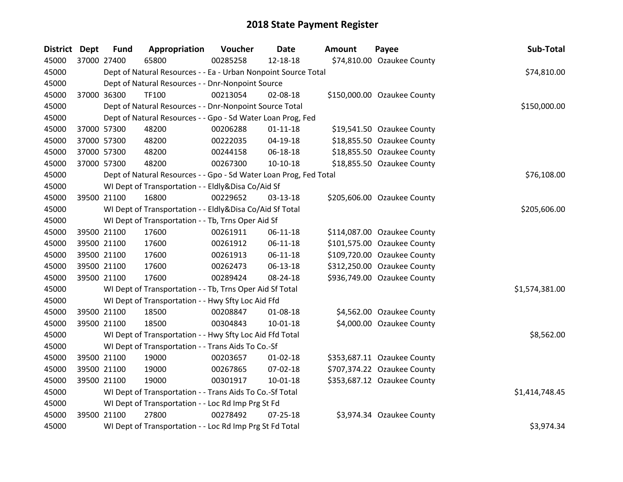| <b>District</b> | <b>Dept</b> | <b>Fund</b> | Appropriation                                                     | Voucher  | <b>Date</b>    | <b>Amount</b> | Payee                       | Sub-Total      |
|-----------------|-------------|-------------|-------------------------------------------------------------------|----------|----------------|---------------|-----------------------------|----------------|
| 45000           |             | 37000 27400 | 65800                                                             | 00285258 | 12-18-18       |               | \$74,810.00 Ozaukee County  |                |
| 45000           |             |             | Dept of Natural Resources - - Ea - Urban Nonpoint Source Total    |          |                |               |                             | \$74,810.00    |
| 45000           |             |             | Dept of Natural Resources - - Dnr-Nonpoint Source                 |          |                |               |                             |                |
| 45000           |             | 37000 36300 | TF100                                                             | 00213054 | 02-08-18       |               | \$150,000.00 Ozaukee County |                |
| 45000           |             |             | Dept of Natural Resources - - Dnr-Nonpoint Source Total           |          |                |               |                             | \$150,000.00   |
| 45000           |             |             | Dept of Natural Resources - - Gpo - Sd Water Loan Prog, Fed       |          |                |               |                             |                |
| 45000           |             | 37000 57300 | 48200                                                             | 00206288 | $01 - 11 - 18$ |               | \$19,541.50 Ozaukee County  |                |
| 45000           |             | 37000 57300 | 48200                                                             | 00222035 | 04-19-18       |               | \$18,855.50 Ozaukee County  |                |
| 45000           |             | 37000 57300 | 48200                                                             | 00244158 | 06-18-18       |               | \$18,855.50 Ozaukee County  |                |
| 45000           |             | 37000 57300 | 48200                                                             | 00267300 | $10-10-18$     |               | \$18,855.50 Ozaukee County  |                |
| 45000           |             |             | Dept of Natural Resources - - Gpo - Sd Water Loan Prog, Fed Total |          |                |               |                             | \$76,108.00    |
| 45000           |             |             | WI Dept of Transportation - - Eldly&Disa Co/Aid Sf                |          |                |               |                             |                |
| 45000           |             | 39500 21100 | 16800                                                             | 00229652 | 03-13-18       |               | \$205,606.00 Ozaukee County |                |
| 45000           |             |             | WI Dept of Transportation - - Eldly&Disa Co/Aid Sf Total          |          |                |               |                             | \$205,606.00   |
| 45000           |             |             | WI Dept of Transportation - - Tb, Trns Oper Aid Sf                |          |                |               |                             |                |
| 45000           |             | 39500 21100 | 17600                                                             | 00261911 | $06-11-18$     |               | \$114,087.00 Ozaukee County |                |
| 45000           |             | 39500 21100 | 17600                                                             | 00261912 | $06-11-18$     |               | \$101,575.00 Ozaukee County |                |
| 45000           |             | 39500 21100 | 17600                                                             | 00261913 | 06-11-18       |               | \$109,720.00 Ozaukee County |                |
| 45000           |             | 39500 21100 | 17600                                                             | 00262473 | 06-13-18       |               | \$312,250.00 Ozaukee County |                |
| 45000           |             | 39500 21100 | 17600                                                             | 00289424 | 08-24-18       |               | \$936,749.00 Ozaukee County |                |
| 45000           |             |             | WI Dept of Transportation - - Tb, Trns Oper Aid Sf Total          |          |                |               |                             | \$1,574,381.00 |
| 45000           |             |             | WI Dept of Transportation - - Hwy Sfty Loc Aid Ffd                |          |                |               |                             |                |
| 45000           |             | 39500 21100 | 18500                                                             | 00208847 | 01-08-18       |               | \$4,562.00 Ozaukee County   |                |
| 45000           |             | 39500 21100 | 18500                                                             | 00304843 | 10-01-18       |               | \$4,000.00 Ozaukee County   |                |
| 45000           |             |             | WI Dept of Transportation - - Hwy Sfty Loc Aid Ffd Total          |          |                |               |                             | \$8,562.00     |
| 45000           |             |             | WI Dept of Transportation - - Trans Aids To Co.-Sf                |          |                |               |                             |                |
| 45000           |             | 39500 21100 | 19000                                                             | 00203657 | $01 - 02 - 18$ |               | \$353,687.11 Ozaukee County |                |
| 45000           |             | 39500 21100 | 19000                                                             | 00267865 | 07-02-18       |               | \$707,374.22 Ozaukee County |                |
| 45000           |             | 39500 21100 | 19000                                                             | 00301917 | $10-01-18$     |               | \$353,687.12 Ozaukee County |                |
| 45000           |             |             | WI Dept of Transportation - - Trans Aids To Co.-Sf Total          |          |                |               |                             | \$1,414,748.45 |
| 45000           |             |             | WI Dept of Transportation - - Loc Rd Imp Prg St Fd                |          |                |               |                             |                |
| 45000           |             | 39500 21100 | 27800                                                             | 00278492 | $07 - 25 - 18$ |               | \$3,974.34 Ozaukee County   |                |
| 45000           |             |             | WI Dept of Transportation - - Loc Rd Imp Prg St Fd Total          |          |                |               |                             | \$3,974.34     |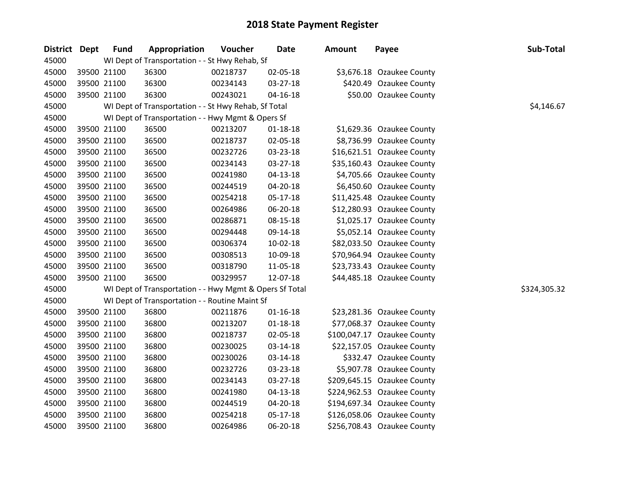| District Dept | <b>Fund</b> | Appropriation                                           | Voucher  | <b>Date</b>    | <b>Amount</b> | Payee                       | Sub-Total    |
|---------------|-------------|---------------------------------------------------------|----------|----------------|---------------|-----------------------------|--------------|
| 45000         |             | WI Dept of Transportation - - St Hwy Rehab, Sf          |          |                |               |                             |              |
| 45000         | 39500 21100 | 36300                                                   | 00218737 | 02-05-18       |               | \$3,676.18 Ozaukee County   |              |
| 45000         | 39500 21100 | 36300                                                   | 00234143 | 03-27-18       |               | \$420.49 Ozaukee County     |              |
| 45000         | 39500 21100 | 36300                                                   | 00243021 | 04-16-18       |               | \$50.00 Ozaukee County      |              |
| 45000         |             | WI Dept of Transportation - - St Hwy Rehab, Sf Total    |          |                |               |                             | \$4,146.67   |
| 45000         |             | WI Dept of Transportation - - Hwy Mgmt & Opers Sf       |          |                |               |                             |              |
| 45000         | 39500 21100 | 36500                                                   | 00213207 | $01 - 18 - 18$ |               | \$1,629.36 Ozaukee County   |              |
| 45000         | 39500 21100 | 36500                                                   | 00218737 | 02-05-18       |               | \$8,736.99 Ozaukee County   |              |
| 45000         | 39500 21100 | 36500                                                   | 00232726 | 03-23-18       |               | \$16,621.51 Ozaukee County  |              |
| 45000         | 39500 21100 | 36500                                                   | 00234143 | $03 - 27 - 18$ |               | \$35,160.43 Ozaukee County  |              |
| 45000         | 39500 21100 | 36500                                                   | 00241980 | 04-13-18       |               | \$4,705.66 Ozaukee County   |              |
| 45000         | 39500 21100 | 36500                                                   | 00244519 | 04-20-18       |               | \$6,450.60 Ozaukee County   |              |
| 45000         | 39500 21100 | 36500                                                   | 00254218 | 05-17-18       |               | \$11,425.48 Ozaukee County  |              |
| 45000         | 39500 21100 | 36500                                                   | 00264986 | 06-20-18       |               | \$12,280.93 Ozaukee County  |              |
| 45000         | 39500 21100 | 36500                                                   | 00286871 | 08-15-18       |               | \$1,025.17 Ozaukee County   |              |
| 45000         | 39500 21100 | 36500                                                   | 00294448 | 09-14-18       |               | \$5,052.14 Ozaukee County   |              |
| 45000         | 39500 21100 | 36500                                                   | 00306374 | 10-02-18       |               | \$82,033.50 Ozaukee County  |              |
| 45000         | 39500 21100 | 36500                                                   | 00308513 | 10-09-18       |               | \$70,964.94 Ozaukee County  |              |
| 45000         | 39500 21100 | 36500                                                   | 00318790 | 11-05-18       |               | \$23,733.43 Ozaukee County  |              |
| 45000         | 39500 21100 | 36500                                                   | 00329957 | 12-07-18       |               | \$44,485.18 Ozaukee County  |              |
| 45000         |             | WI Dept of Transportation - - Hwy Mgmt & Opers Sf Total |          |                |               |                             | \$324,305.32 |
| 45000         |             | WI Dept of Transportation - - Routine Maint Sf          |          |                |               |                             |              |
| 45000         | 39500 21100 | 36800                                                   | 00211876 | $01 - 16 - 18$ |               | \$23,281.36 Ozaukee County  |              |
| 45000         | 39500 21100 | 36800                                                   | 00213207 | $01 - 18 - 18$ |               | \$77,068.37 Ozaukee County  |              |
| 45000         | 39500 21100 | 36800                                                   | 00218737 | 02-05-18       |               | \$100,047.17 Ozaukee County |              |
| 45000         | 39500 21100 | 36800                                                   | 00230025 | 03-14-18       |               | \$22,157.05 Ozaukee County  |              |
| 45000         | 39500 21100 | 36800                                                   | 00230026 | 03-14-18       |               | \$332.47 Ozaukee County     |              |
| 45000         | 39500 21100 | 36800                                                   | 00232726 | 03-23-18       |               | \$5,907.78 Ozaukee County   |              |
| 45000         | 39500 21100 | 36800                                                   | 00234143 | 03-27-18       |               | \$209,645.15 Ozaukee County |              |
| 45000         | 39500 21100 | 36800                                                   | 00241980 | 04-13-18       |               | \$224,962.53 Ozaukee County |              |
| 45000         | 39500 21100 | 36800                                                   | 00244519 | 04-20-18       |               | \$194,697.34 Ozaukee County |              |
| 45000         | 39500 21100 | 36800                                                   | 00254218 | $05 - 17 - 18$ |               | \$126,058.06 Ozaukee County |              |
| 45000         | 39500 21100 | 36800                                                   | 00264986 | 06-20-18       |               | \$256,708.43 Ozaukee County |              |

| \$3,676.18  | Ozaukee County             |
|-------------|----------------------------|
| \$420.49    | Ozaukee County             |
| \$50.00     | Ozaukee County             |
|             |                            |
|             |                            |
| \$1,629.36  | <b>Ozaukee County</b>      |
| \$8,736.99  | Ozaukee County             |
| \$16,621.51 | <b>Ozaukee County</b>      |
| \$35,160.43 | Ozaukee County             |
| \$4,705.66  | Ozaukee County             |
| \$6,450.60  | <b>Ozaukee County</b>      |
| \$11,425.48 | Ozaukee County             |
| \$12,280.93 | Ozaukee County             |
| \$1,025.17  | <b>Ozaukee County</b>      |
| \$5,052.14  | <b>Ozaukee County</b>      |
| \$82,033.50 | Ozaukee County             |
| \$70,964.94 | <b>Ozaukee County</b>      |
| \$23,733.43 | Ozaukee County             |
| \$44,485.18 | Ozaukee County             |
|             |                            |
|             |                            |
|             | \$23,281.36 Ozaukee County |
| \$77,068.37 | Ozaukee County             |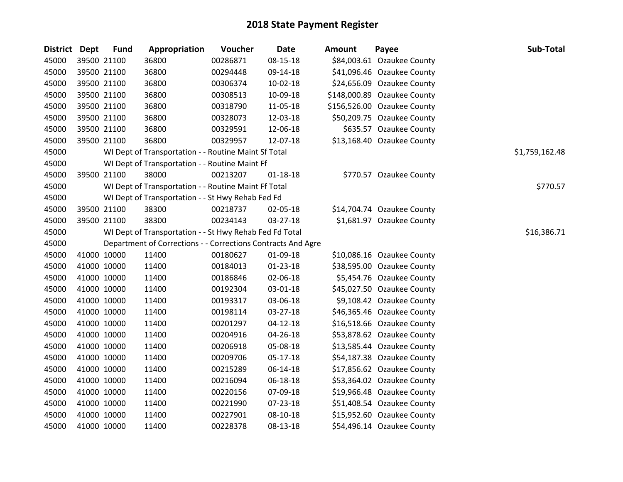| District Dept | <b>Fund</b> | Appropriation                                                | Voucher  | <b>Date</b>    | <b>Amount</b> | Payee                       | Sub-Total      |
|---------------|-------------|--------------------------------------------------------------|----------|----------------|---------------|-----------------------------|----------------|
| 45000         | 39500 21100 | 36800                                                        | 00286871 | 08-15-18       |               | \$84,003.61 Ozaukee County  |                |
| 45000         | 39500 21100 | 36800                                                        | 00294448 | 09-14-18       |               | \$41,096.46 Ozaukee County  |                |
| 45000         | 39500 21100 | 36800                                                        | 00306374 | 10-02-18       |               | \$24,656.09 Ozaukee County  |                |
| 45000         | 39500 21100 | 36800                                                        | 00308513 | 10-09-18       |               | \$148,000.89 Ozaukee County |                |
| 45000         | 39500 21100 | 36800                                                        | 00318790 | 11-05-18       |               | \$156,526.00 Ozaukee County |                |
| 45000         | 39500 21100 | 36800                                                        | 00328073 | 12-03-18       |               | \$50,209.75 Ozaukee County  |                |
| 45000         | 39500 21100 | 36800                                                        | 00329591 | 12-06-18       |               | \$635.57 Ozaukee County     |                |
| 45000         | 39500 21100 | 36800                                                        | 00329957 | 12-07-18       |               | \$13,168.40 Ozaukee County  |                |
| 45000         |             | WI Dept of Transportation - - Routine Maint Sf Total         |          |                |               |                             | \$1,759,162.48 |
| 45000         |             | WI Dept of Transportation - - Routine Maint Ff               |          |                |               |                             |                |
| 45000         | 39500 21100 | 38000                                                        | 00213207 | $01 - 18 - 18$ |               | \$770.57 Ozaukee County     |                |
| 45000         |             | WI Dept of Transportation - - Routine Maint Ff Total         |          |                |               |                             | \$770.57       |
| 45000         |             | WI Dept of Transportation - - St Hwy Rehab Fed Fd            |          |                |               |                             |                |
| 45000         | 39500 21100 | 38300                                                        | 00218737 | 02-05-18       |               | \$14,704.74 Ozaukee County  |                |
| 45000         | 39500 21100 | 38300                                                        | 00234143 | 03-27-18       |               | \$1,681.97 Ozaukee County   |                |
| 45000         |             | WI Dept of Transportation - - St Hwy Rehab Fed Fd Total      |          |                |               |                             | \$16,386.71    |
| 45000         |             | Department of Corrections - - Corrections Contracts And Agre |          |                |               |                             |                |
| 45000         | 41000 10000 | 11400                                                        | 00180627 | 01-09-18       |               | \$10,086.16 Ozaukee County  |                |
| 45000         | 41000 10000 | 11400                                                        | 00184013 | $01-23-18$     |               | \$38,595.00 Ozaukee County  |                |
| 45000         | 41000 10000 | 11400                                                        | 00186846 | 02-06-18       |               | \$5,454.76 Ozaukee County   |                |
| 45000         | 41000 10000 | 11400                                                        | 00192304 | 03-01-18       |               | \$45,027.50 Ozaukee County  |                |
| 45000         | 41000 10000 | 11400                                                        | 00193317 | 03-06-18       |               | \$9,108.42 Ozaukee County   |                |
| 45000         | 41000 10000 | 11400                                                        | 00198114 | 03-27-18       |               | \$46,365.46 Ozaukee County  |                |
| 45000         | 41000 10000 | 11400                                                        | 00201297 | $04-12-18$     |               | \$16,518.66 Ozaukee County  |                |
| 45000         | 41000 10000 | 11400                                                        | 00204916 | 04-26-18       |               | \$53,878.62 Ozaukee County  |                |
| 45000         | 41000 10000 | 11400                                                        | 00206918 | 05-08-18       |               | \$13,585.44 Ozaukee County  |                |
| 45000         | 41000 10000 | 11400                                                        | 00209706 | 05-17-18       |               | \$54,187.38 Ozaukee County  |                |
| 45000         | 41000 10000 | 11400                                                        | 00215289 | 06-14-18       |               | \$17,856.62 Ozaukee County  |                |
| 45000         | 41000 10000 | 11400                                                        | 00216094 | 06-18-18       |               | \$53,364.02 Ozaukee County  |                |
| 45000         | 41000 10000 | 11400                                                        | 00220156 | 07-09-18       |               | \$19,966.48 Ozaukee County  |                |
| 45000         | 41000 10000 | 11400                                                        | 00221990 | 07-23-18       |               | \$51,408.54 Ozaukee County  |                |
| 45000         | 41000 10000 | 11400                                                        | 00227901 | 08-10-18       |               | \$15,952.60 Ozaukee County  |                |
| 45000         | 41000 10000 | 11400                                                        | 00228378 | 08-13-18       |               | \$54,496.14 Ozaukee County  |                |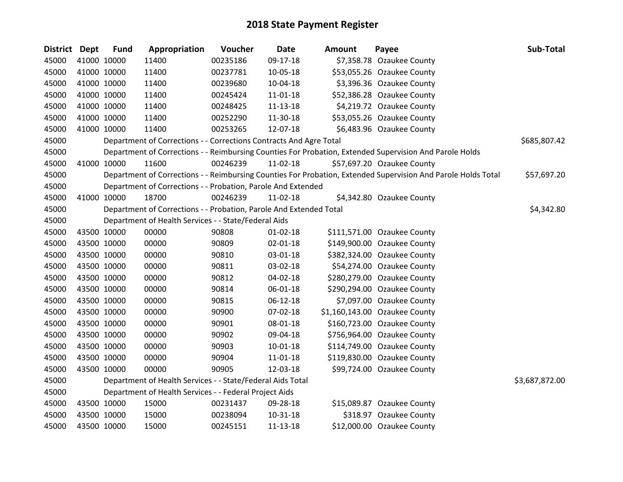| District Dept |             | <b>Fund</b> | Appropriation                                                      | Voucher  | <b>Date</b>    | <b>Amount</b> | Payee                                                                                                         | Sub-Total      |
|---------------|-------------|-------------|--------------------------------------------------------------------|----------|----------------|---------------|---------------------------------------------------------------------------------------------------------------|----------------|
| 45000         | 41000 10000 |             | 11400                                                              | 00235186 | 09-17-18       |               | \$7,358.78 Ozaukee County                                                                                     |                |
| 45000         | 41000 10000 |             | 11400                                                              | 00237781 | 10-05-18       |               | \$53,055.26 Ozaukee County                                                                                    |                |
| 45000         | 41000 10000 |             | 11400                                                              | 00239680 | 10-04-18       |               | \$3,396.36 Ozaukee County                                                                                     |                |
| 45000         | 41000 10000 |             | 11400                                                              | 00245424 | 11-01-18       |               | \$52,386.28 Ozaukee County                                                                                    |                |
| 45000         | 41000 10000 |             | 11400                                                              | 00248425 | 11-13-18       |               | \$4,219.72 Ozaukee County                                                                                     |                |
| 45000         | 41000 10000 |             | 11400                                                              | 00252290 | 11-30-18       |               | \$53,055.26 Ozaukee County                                                                                    |                |
| 45000         | 41000 10000 |             | 11400                                                              | 00253265 | 12-07-18       |               | \$6,483.96 Ozaukee County                                                                                     |                |
| 45000         |             |             | Department of Corrections - - Corrections Contracts And Agre Total |          |                |               |                                                                                                               | \$685,807.42   |
| 45000         |             |             |                                                                    |          |                |               | Department of Corrections - - Reimbursing Counties For Probation, Extended Supervision And Parole Holds       |                |
| 45000         | 41000 10000 |             | 11600                                                              | 00246239 | 11-02-18       |               | \$57,697.20 Ozaukee County                                                                                    |                |
| 45000         |             |             |                                                                    |          |                |               | Department of Corrections - - Reimbursing Counties For Probation, Extended Supervision And Parole Holds Total | \$57,697.20    |
| 45000         |             |             | Department of Corrections - - Probation, Parole And Extended       |          |                |               |                                                                                                               |                |
| 45000         | 41000 10000 |             | 18700                                                              | 00246239 | 11-02-18       |               | \$4,342.80 Ozaukee County                                                                                     |                |
| 45000         |             |             | Department of Corrections - - Probation, Parole And Extended Total |          |                |               |                                                                                                               | \$4,342.80     |
| 45000         |             |             | Department of Health Services - - State/Federal Aids               |          |                |               |                                                                                                               |                |
| 45000         | 43500 10000 |             | 00000                                                              | 90808    | $01 - 02 - 18$ |               | \$111,571.00 Ozaukee County                                                                                   |                |
| 45000         |             | 43500 10000 | 00000                                                              | 90809    | 02-01-18       |               | \$149,900.00 Ozaukee County                                                                                   |                |
| 45000         | 43500 10000 |             | 00000                                                              | 90810    | 03-01-18       |               | \$382,324.00 Ozaukee County                                                                                   |                |
| 45000         | 43500 10000 |             | 00000                                                              | 90811    | 03-02-18       |               | \$54,274.00 Ozaukee County                                                                                    |                |
| 45000         | 43500 10000 |             | 00000                                                              | 90812    | 04-02-18       |               | \$280,279.00 Ozaukee County                                                                                   |                |
| 45000         |             | 43500 10000 | 00000                                                              | 90814    | 06-01-18       |               | \$290,294.00 Ozaukee County                                                                                   |                |
| 45000         |             | 43500 10000 | 00000                                                              | 90815    | $06-12-18$     |               | \$7,097.00 Ozaukee County                                                                                     |                |
| 45000         | 43500 10000 |             | 00000                                                              | 90900    | 07-02-18       |               | \$1,160,143.00 Ozaukee County                                                                                 |                |
| 45000         | 43500 10000 |             | 00000                                                              | 90901    | 08-01-18       |               | \$160,723.00 Ozaukee County                                                                                   |                |
| 45000         | 43500 10000 |             | 00000                                                              | 90902    | 09-04-18       |               | \$756,964.00 Ozaukee County                                                                                   |                |
| 45000         | 43500 10000 |             | 00000                                                              | 90903    | 10-01-18       |               | \$114,749.00 Ozaukee County                                                                                   |                |
| 45000         | 43500 10000 |             | 00000                                                              | 90904    | 11-01-18       |               | \$119,830.00 Ozaukee County                                                                                   |                |
| 45000         | 43500 10000 |             | 00000                                                              | 90905    | 12-03-18       |               | \$99,724.00 Ozaukee County                                                                                    |                |
| 45000         |             |             | Department of Health Services - - State/Federal Aids Total         |          |                |               |                                                                                                               | \$3,687,872.00 |
| 45000         |             |             | Department of Health Services - - Federal Project Aids             |          |                |               |                                                                                                               |                |
| 45000         | 43500 10000 |             | 15000                                                              | 00231437 | 09-28-18       |               | \$15,089.87 Ozaukee County                                                                                    |                |
| 45000         |             | 43500 10000 | 15000                                                              | 00238094 | 10-31-18       |               | \$318.97 Ozaukee County                                                                                       |                |
| 45000         | 43500 10000 |             | 15000                                                              | 00245151 | 11-13-18       |               | \$12,000.00 Ozaukee County                                                                                    |                |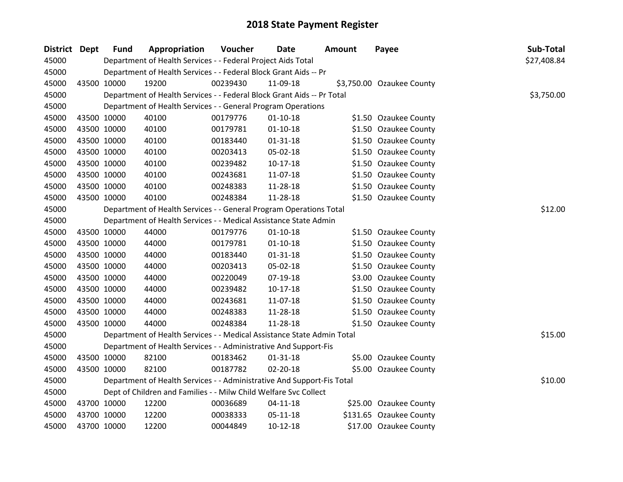| District Dept | <b>Fund</b> | Appropriation                                                          | Voucher  | <b>Date</b>    | Amount | Payee                     | Sub-Total   |
|---------------|-------------|------------------------------------------------------------------------|----------|----------------|--------|---------------------------|-------------|
| 45000         |             | Department of Health Services - - Federal Project Aids Total           |          |                |        |                           | \$27,408.84 |
| 45000         |             | Department of Health Services - - Federal Block Grant Aids -- Pr       |          |                |        |                           |             |
| 45000         | 43500 10000 | 19200                                                                  | 00239430 | 11-09-18       |        | \$3,750.00 Ozaukee County |             |
| 45000         |             | Department of Health Services - - Federal Block Grant Aids -- Pr Total |          |                |        |                           | \$3,750.00  |
| 45000         |             | Department of Health Services - - General Program Operations           |          |                |        |                           |             |
| 45000         | 43500 10000 | 40100                                                                  | 00179776 | $01-10-18$     |        | \$1.50 Ozaukee County     |             |
| 45000         | 43500 10000 | 40100                                                                  | 00179781 | $01 - 10 - 18$ |        | \$1.50 Ozaukee County     |             |
| 45000         | 43500 10000 | 40100                                                                  | 00183440 | $01 - 31 - 18$ |        | \$1.50 Ozaukee County     |             |
| 45000         | 43500 10000 | 40100                                                                  | 00203413 | 05-02-18       |        | \$1.50 Ozaukee County     |             |
| 45000         | 43500 10000 | 40100                                                                  | 00239482 | $10-17-18$     |        | \$1.50 Ozaukee County     |             |
| 45000         | 43500 10000 | 40100                                                                  | 00243681 | 11-07-18       |        | \$1.50 Ozaukee County     |             |
| 45000         | 43500 10000 | 40100                                                                  | 00248383 | 11-28-18       |        | \$1.50 Ozaukee County     |             |
| 45000         | 43500 10000 | 40100                                                                  | 00248384 | 11-28-18       |        | \$1.50 Ozaukee County     |             |
| 45000         |             | Department of Health Services - - General Program Operations Total     |          |                |        |                           | \$12.00     |
| 45000         |             | Department of Health Services - - Medical Assistance State Admin       |          |                |        |                           |             |
| 45000         | 43500 10000 | 44000                                                                  | 00179776 | $01-10-18$     |        | \$1.50 Ozaukee County     |             |
| 45000         | 43500 10000 | 44000                                                                  | 00179781 | $01-10-18$     |        | \$1.50 Ozaukee County     |             |
| 45000         | 43500 10000 | 44000                                                                  | 00183440 | $01 - 31 - 18$ |        | \$1.50 Ozaukee County     |             |
| 45000         | 43500 10000 | 44000                                                                  | 00203413 | 05-02-18       |        | \$1.50 Ozaukee County     |             |
| 45000         | 43500 10000 | 44000                                                                  | 00220049 | 07-19-18       |        | \$3.00 Ozaukee County     |             |
| 45000         | 43500 10000 | 44000                                                                  | 00239482 | $10-17-18$     |        | \$1.50 Ozaukee County     |             |
| 45000         | 43500 10000 | 44000                                                                  | 00243681 | 11-07-18       |        | \$1.50 Ozaukee County     |             |
| 45000         | 43500 10000 | 44000                                                                  | 00248383 | 11-28-18       |        | \$1.50 Ozaukee County     |             |
| 45000         | 43500 10000 | 44000                                                                  | 00248384 | 11-28-18       |        | \$1.50 Ozaukee County     |             |
| 45000         |             | Department of Health Services - - Medical Assistance State Admin Total |          |                |        |                           | \$15.00     |
| 45000         |             | Department of Health Services - - Administrative And Support-Fis       |          |                |        |                           |             |
| 45000         | 43500 10000 | 82100                                                                  | 00183462 | $01 - 31 - 18$ |        | \$5.00 Ozaukee County     |             |
| 45000         | 43500 10000 | 82100                                                                  | 00187782 | 02-20-18       |        | \$5.00 Ozaukee County     |             |
| 45000         |             | Department of Health Services - - Administrative And Support-Fis Total |          |                |        |                           | \$10.00     |
| 45000         |             | Dept of Children and Families - - Milw Child Welfare Svc Collect       |          |                |        |                           |             |
| 45000         | 43700 10000 | 12200                                                                  | 00036689 | $04 - 11 - 18$ |        | \$25.00 Ozaukee County    |             |
| 45000         | 43700 10000 | 12200                                                                  | 00038333 | 05-11-18       |        | \$131.65 Ozaukee County   |             |
| 45000         | 43700 10000 | 12200                                                                  | 00044849 | $10-12-18$     |        | \$17.00 Ozaukee County    |             |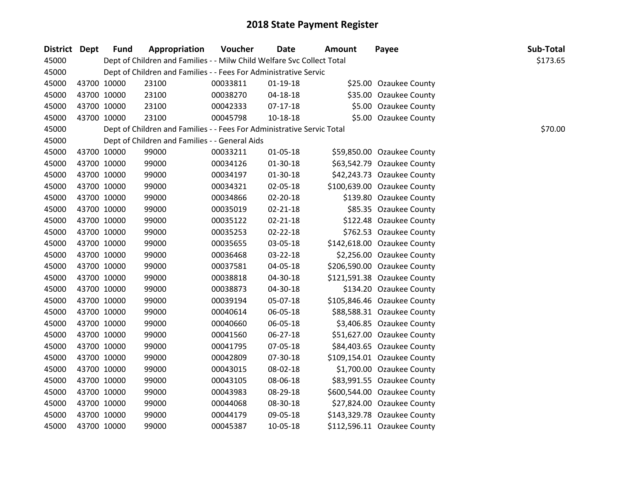| District Dept | <b>Fund</b> | Appropriation                                                          | Voucher  | <b>Date</b>    | Amount | Payee                       | Sub-Total |
|---------------|-------------|------------------------------------------------------------------------|----------|----------------|--------|-----------------------------|-----------|
| 45000         |             | Dept of Children and Families - - Milw Child Welfare Svc Collect Total |          |                |        |                             | \$173.65  |
| 45000         |             | Dept of Children and Families - - Fees For Administrative Servic       |          |                |        |                             |           |
| 45000         | 43700 10000 | 23100                                                                  | 00033811 | $01-19-18$     |        | \$25.00 Ozaukee County      |           |
| 45000         | 43700 10000 | 23100                                                                  | 00038270 | 04-18-18       |        | \$35.00 Ozaukee County      |           |
| 45000         | 43700 10000 | 23100                                                                  | 00042333 | $07-17-18$     |        | \$5.00 Ozaukee County       |           |
| 45000         | 43700 10000 | 23100                                                                  | 00045798 | $10 - 18 - 18$ |        | \$5.00 Ozaukee County       |           |
| 45000         |             | Dept of Children and Families - - Fees For Administrative Servic Total |          |                |        |                             | \$70.00   |
| 45000         |             | Dept of Children and Families - - General Aids                         |          |                |        |                             |           |
| 45000         | 43700 10000 | 99000                                                                  | 00033211 | 01-05-18       |        | \$59,850.00 Ozaukee County  |           |
| 45000         | 43700 10000 | 99000                                                                  | 00034126 | 01-30-18       |        | \$63,542.79 Ozaukee County  |           |
| 45000         | 43700 10000 | 99000                                                                  | 00034197 | 01-30-18       |        | \$42,243.73 Ozaukee County  |           |
| 45000         | 43700 10000 | 99000                                                                  | 00034321 | 02-05-18       |        | \$100,639.00 Ozaukee County |           |
| 45000         | 43700 10000 | 99000                                                                  | 00034866 | 02-20-18       |        | \$139.80 Ozaukee County     |           |
| 45000         | 43700 10000 | 99000                                                                  | 00035019 | $02 - 21 - 18$ |        | \$85.35 Ozaukee County      |           |
| 45000         | 43700 10000 | 99000                                                                  | 00035122 | 02-21-18       |        | \$122.48 Ozaukee County     |           |
| 45000         | 43700 10000 | 99000                                                                  | 00035253 | 02-22-18       |        | \$762.53 Ozaukee County     |           |
| 45000         | 43700 10000 | 99000                                                                  | 00035655 | 03-05-18       |        | \$142,618.00 Ozaukee County |           |
| 45000         | 43700 10000 | 99000                                                                  | 00036468 | 03-22-18       |        | \$2,256.00 Ozaukee County   |           |
| 45000         | 43700 10000 | 99000                                                                  | 00037581 | 04-05-18       |        | \$206,590.00 Ozaukee County |           |
| 45000         | 43700 10000 | 99000                                                                  | 00038818 | 04-30-18       |        | \$121,591.38 Ozaukee County |           |
| 45000         | 43700 10000 | 99000                                                                  | 00038873 | 04-30-18       |        | \$134.20 Ozaukee County     |           |
| 45000         | 43700 10000 | 99000                                                                  | 00039194 | 05-07-18       |        | \$105,846.46 Ozaukee County |           |
| 45000         | 43700 10000 | 99000                                                                  | 00040614 | 06-05-18       |        | \$88,588.31 Ozaukee County  |           |
| 45000         | 43700 10000 | 99000                                                                  | 00040660 | 06-05-18       |        | \$3,406.85 Ozaukee County   |           |
| 45000         | 43700 10000 | 99000                                                                  | 00041560 | 06-27-18       |        | \$51,627.00 Ozaukee County  |           |
| 45000         | 43700 10000 | 99000                                                                  | 00041795 | 07-05-18       |        | \$84,403.65 Ozaukee County  |           |
| 45000         | 43700 10000 | 99000                                                                  | 00042809 | 07-30-18       |        | \$109,154.01 Ozaukee County |           |
| 45000         | 43700 10000 | 99000                                                                  | 00043015 | 08-02-18       |        | \$1,700.00 Ozaukee County   |           |
| 45000         | 43700 10000 | 99000                                                                  | 00043105 | 08-06-18       |        | \$83,991.55 Ozaukee County  |           |
| 45000         | 43700 10000 | 99000                                                                  | 00043983 | 08-29-18       |        | \$600,544.00 Ozaukee County |           |
| 45000         | 43700 10000 | 99000                                                                  | 00044068 | 08-30-18       |        | \$27,824.00 Ozaukee County  |           |
| 45000         | 43700 10000 | 99000                                                                  | 00044179 | 09-05-18       |        | \$143,329.78 Ozaukee County |           |
| 45000         | 43700 10000 | 99000                                                                  | 00045387 | 10-05-18       |        | \$112,596.11 Ozaukee County |           |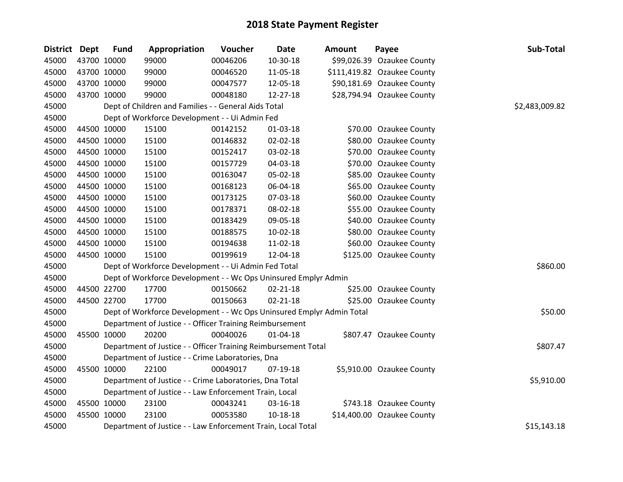| District Dept |             | <b>Fund</b> | Appropriation                                                         | Voucher  | <b>Date</b>    | <b>Amount</b> | Payee                       | Sub-Total      |
|---------------|-------------|-------------|-----------------------------------------------------------------------|----------|----------------|---------------|-----------------------------|----------------|
| 45000         | 43700 10000 |             | 99000                                                                 | 00046206 | 10-30-18       |               | \$99,026.39 Ozaukee County  |                |
| 45000         |             | 43700 10000 | 99000                                                                 | 00046520 | 11-05-18       |               | \$111,419.82 Ozaukee County |                |
| 45000         | 43700 10000 |             | 99000                                                                 | 00047577 | 12-05-18       |               | \$90,181.69 Ozaukee County  |                |
| 45000         | 43700 10000 |             | 99000                                                                 | 00048180 | 12-27-18       |               | \$28,794.94 Ozaukee County  |                |
| 45000         |             |             | Dept of Children and Families - - General Aids Total                  |          |                |               |                             | \$2,483,009.82 |
| 45000         |             |             | Dept of Workforce Development - - Ui Admin Fed                        |          |                |               |                             |                |
| 45000         |             | 44500 10000 | 15100                                                                 | 00142152 | 01-03-18       |               | \$70.00 Ozaukee County      |                |
| 45000         |             | 44500 10000 | 15100                                                                 | 00146832 | $02 - 02 - 18$ |               | \$80.00 Ozaukee County      |                |
| 45000         |             | 44500 10000 | 15100                                                                 | 00152417 | 03-02-18       |               | \$70.00 Ozaukee County      |                |
| 45000         |             | 44500 10000 | 15100                                                                 | 00157729 | 04-03-18       |               | \$70.00 Ozaukee County      |                |
| 45000         |             | 44500 10000 | 15100                                                                 | 00163047 | 05-02-18       |               | \$85.00 Ozaukee County      |                |
| 45000         |             | 44500 10000 | 15100                                                                 | 00168123 | 06-04-18       |               | \$65.00 Ozaukee County      |                |
| 45000         |             | 44500 10000 | 15100                                                                 | 00173125 | 07-03-18       |               | \$60.00 Ozaukee County      |                |
| 45000         |             | 44500 10000 | 15100                                                                 | 00178371 | 08-02-18       |               | \$55.00 Ozaukee County      |                |
| 45000         |             | 44500 10000 | 15100                                                                 | 00183429 | 09-05-18       |               | \$40.00 Ozaukee County      |                |
| 45000         |             | 44500 10000 | 15100                                                                 | 00188575 | $10-02-18$     |               | \$80.00 Ozaukee County      |                |
| 45000         |             | 44500 10000 | 15100                                                                 | 00194638 | 11-02-18       |               | \$60.00 Ozaukee County      |                |
| 45000         | 44500 10000 |             | 15100                                                                 | 00199619 | 12-04-18       |               | \$125.00 Ozaukee County     |                |
| 45000         |             |             | Dept of Workforce Development - - Ui Admin Fed Total                  |          |                |               |                             | \$860.00       |
| 45000         |             |             | Dept of Workforce Development - - Wc Ops Uninsured Emplyr Admin       |          |                |               |                             |                |
| 45000         |             | 44500 22700 | 17700                                                                 | 00150662 | $02 - 21 - 18$ |               | \$25.00 Ozaukee County      |                |
| 45000         |             | 44500 22700 | 17700                                                                 | 00150663 | $02 - 21 - 18$ |               | \$25.00 Ozaukee County      |                |
| 45000         |             |             | Dept of Workforce Development - - Wc Ops Uninsured Emplyr Admin Total |          |                |               |                             | \$50.00        |
| 45000         |             |             | Department of Justice - - Officer Training Reimbursement              |          |                |               |                             |                |
| 45000         | 45500 10000 |             | 20200                                                                 | 00040026 | $01 - 04 - 18$ |               | \$807.47 Ozaukee County     |                |
| 45000         |             |             | Department of Justice - - Officer Training Reimbursement Total        |          |                |               |                             | \$807.47       |
| 45000         |             |             | Department of Justice - - Crime Laboratories, Dna                     |          |                |               |                             |                |
| 45000         |             | 45500 10000 | 22100                                                                 | 00049017 | 07-19-18       |               | \$5,910.00 Ozaukee County   |                |
| 45000         |             |             | Department of Justice - - Crime Laboratories, Dna Total               |          |                |               |                             | \$5,910.00     |
| 45000         |             |             | Department of Justice - - Law Enforcement Train, Local                |          |                |               |                             |                |
| 45000         |             | 45500 10000 | 23100                                                                 | 00043241 | 03-16-18       |               | \$743.18 Ozaukee County     |                |
| 45000         |             | 45500 10000 | 23100                                                                 | 00053580 | 10-18-18       |               | \$14,400.00 Ozaukee County  |                |
| 45000         |             |             | Department of Justice - - Law Enforcement Train, Local Total          |          |                |               |                             | \$15,143.18    |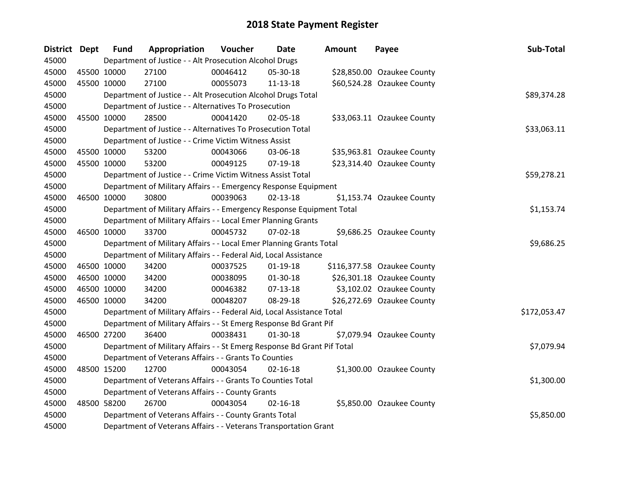| District Dept | <b>Fund</b> | Appropriation                                                           | Voucher  | <b>Date</b>    | <b>Amount</b> | Payee                       | Sub-Total    |
|---------------|-------------|-------------------------------------------------------------------------|----------|----------------|---------------|-----------------------------|--------------|
| 45000         |             | Department of Justice - - Alt Prosecution Alcohol Drugs                 |          |                |               |                             |              |
| 45000         | 45500 10000 | 27100                                                                   | 00046412 | 05-30-18       |               | \$28,850.00 Ozaukee County  |              |
| 45000         | 45500 10000 | 27100                                                                   | 00055073 | 11-13-18       |               | \$60,524.28 Ozaukee County  |              |
| 45000         |             | Department of Justice - - Alt Prosecution Alcohol Drugs Total           |          |                |               |                             | \$89,374.28  |
| 45000         |             | Department of Justice - - Alternatives To Prosecution                   |          |                |               |                             |              |
| 45000         | 45500 10000 | 28500                                                                   | 00041420 | 02-05-18       |               | \$33,063.11 Ozaukee County  |              |
| 45000         |             | Department of Justice - - Alternatives To Prosecution Total             |          |                |               |                             | \$33,063.11  |
| 45000         |             | Department of Justice - - Crime Victim Witness Assist                   |          |                |               |                             |              |
| 45000         | 45500 10000 | 53200                                                                   | 00043066 | 03-06-18       |               | \$35,963.81 Ozaukee County  |              |
| 45000         | 45500 10000 | 53200                                                                   | 00049125 | 07-19-18       |               | \$23,314.40 Ozaukee County  |              |
| 45000         |             | Department of Justice - - Crime Victim Witness Assist Total             |          |                |               |                             | \$59,278.21  |
| 45000         |             | Department of Military Affairs - - Emergency Response Equipment         |          |                |               |                             |              |
| 45000         | 46500 10000 | 30800                                                                   | 00039063 | $02 - 13 - 18$ |               | \$1,153.74 Ozaukee County   |              |
| 45000         |             | Department of Military Affairs - - Emergency Response Equipment Total   |          |                |               |                             | \$1,153.74   |
| 45000         |             | Department of Military Affairs - - Local Emer Planning Grants           |          |                |               |                             |              |
| 45000         | 46500 10000 | 33700                                                                   | 00045732 | $07 - 02 - 18$ |               | \$9,686.25 Ozaukee County   |              |
| 45000         |             | Department of Military Affairs - - Local Emer Planning Grants Total     |          |                |               |                             | \$9,686.25   |
| 45000         |             | Department of Military Affairs - - Federal Aid, Local Assistance        |          |                |               |                             |              |
| 45000         | 46500 10000 | 34200                                                                   | 00037525 | $01-19-18$     |               | \$116,377.58 Ozaukee County |              |
| 45000         | 46500 10000 | 34200                                                                   | 00038095 | $01-30-18$     |               | \$26,301.18 Ozaukee County  |              |
| 45000         | 46500 10000 | 34200                                                                   | 00046382 | $07-13-18$     |               | \$3,102.02 Ozaukee County   |              |
| 45000         | 46500 10000 | 34200                                                                   | 00048207 | 08-29-18       |               | \$26,272.69 Ozaukee County  |              |
| 45000         |             | Department of Military Affairs - - Federal Aid, Local Assistance Total  |          |                |               |                             | \$172,053.47 |
| 45000         |             | Department of Military Affairs - - St Emerg Response Bd Grant Pif       |          |                |               |                             |              |
| 45000         | 46500 27200 | 36400                                                                   | 00038431 | $01-30-18$     |               | \$7,079.94 Ozaukee County   |              |
| 45000         |             | Department of Military Affairs - - St Emerg Response Bd Grant Pif Total |          |                |               |                             | \$7,079.94   |
| 45000         |             | Department of Veterans Affairs - - Grants To Counties                   |          |                |               |                             |              |
| 45000         | 48500 15200 | 12700                                                                   | 00043054 | $02 - 16 - 18$ |               | \$1,300.00 Ozaukee County   |              |
| 45000         |             | Department of Veterans Affairs - - Grants To Counties Total             |          |                |               |                             | \$1,300.00   |
| 45000         |             | Department of Veterans Affairs - - County Grants                        |          |                |               |                             |              |
| 45000         | 48500 58200 | 26700                                                                   | 00043054 | $02 - 16 - 18$ |               | \$5,850.00 Ozaukee County   |              |
| 45000         |             | Department of Veterans Affairs - - County Grants Total                  |          |                |               |                             | \$5,850.00   |
| 45000         |             | Department of Veterans Affairs - - Veterans Transportation Grant        |          |                |               |                             |              |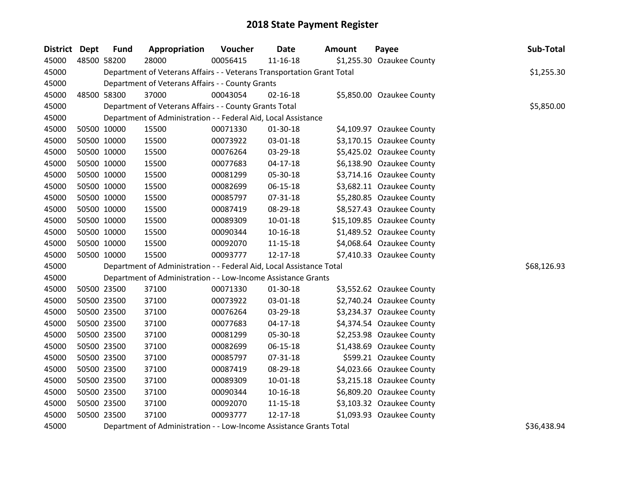| <b>District Dept</b> |             | <b>Fund</b> | Appropriation                                                          | Voucher  | <b>Date</b>    | Amount                   | Payee                      | Sub-Total   |  |  |  |
|----------------------|-------------|-------------|------------------------------------------------------------------------|----------|----------------|--------------------------|----------------------------|-------------|--|--|--|
| 45000                | 48500 58200 |             | 28000                                                                  | 00056415 | $11 - 16 - 18$ |                          | \$1,255.30 Ozaukee County  |             |  |  |  |
| 45000                |             |             | Department of Veterans Affairs - - Veterans Transportation Grant Total |          |                |                          |                            |             |  |  |  |
| 45000                |             |             | Department of Veterans Affairs - - County Grants                       |          |                |                          |                            |             |  |  |  |
| 45000                |             | 48500 58300 | 37000                                                                  | 00043054 | $02 - 16 - 18$ |                          | \$5,850.00 Ozaukee County  |             |  |  |  |
| 45000                |             |             | Department of Veterans Affairs - - County Grants Total                 |          |                |                          |                            | \$5,850.00  |  |  |  |
| 45000                |             |             | Department of Administration - - Federal Aid, Local Assistance         |          |                |                          |                            |             |  |  |  |
| 45000                | 50500 10000 |             | 15500                                                                  | 00071330 | 01-30-18       |                          | \$4,109.97 Ozaukee County  |             |  |  |  |
| 45000                | 50500 10000 |             | 15500                                                                  | 00073922 | 03-01-18       |                          | \$3,170.15 Ozaukee County  |             |  |  |  |
| 45000                |             | 50500 10000 | 15500                                                                  | 00076264 | 03-29-18       |                          | \$5,425.02 Ozaukee County  |             |  |  |  |
| 45000                | 50500 10000 |             | 15500                                                                  | 00077683 | $04-17-18$     |                          | \$6,138.90 Ozaukee County  |             |  |  |  |
| 45000                | 50500 10000 |             | 15500                                                                  | 00081299 | 05-30-18       |                          | \$3,714.16 Ozaukee County  |             |  |  |  |
| 45000                | 50500 10000 |             | 15500                                                                  | 00082699 | $06 - 15 - 18$ |                          | \$3,682.11 Ozaukee County  |             |  |  |  |
| 45000                | 50500 10000 |             | 15500                                                                  | 00085797 | 07-31-18       |                          | \$5,280.85 Ozaukee County  |             |  |  |  |
| 45000                | 50500 10000 |             | 15500                                                                  | 00087419 | 08-29-18       |                          | \$8,527.43 Ozaukee County  |             |  |  |  |
| 45000                |             | 50500 10000 | 15500                                                                  | 00089309 | $10 - 01 - 18$ |                          | \$15,109.85 Ozaukee County |             |  |  |  |
| 45000                | 50500 10000 |             | 15500                                                                  | 00090344 | $10 - 16 - 18$ |                          | \$1,489.52 Ozaukee County  |             |  |  |  |
| 45000                | 50500 10000 |             | 15500                                                                  | 00092070 | $11 - 15 - 18$ |                          | \$4,068.64 Ozaukee County  |             |  |  |  |
| 45000                | 50500 10000 |             | 15500                                                                  | 00093777 | 12-17-18       |                          | \$7,410.33 Ozaukee County  |             |  |  |  |
| 45000                |             |             | Department of Administration - - Federal Aid, Local Assistance Total   |          |                |                          |                            | \$68,126.93 |  |  |  |
| 45000                |             |             | Department of Administration - - Low-Income Assistance Grants          |          |                |                          |                            |             |  |  |  |
| 45000                | 50500 23500 |             | 37100                                                                  | 00071330 | 01-30-18       |                          | \$3,552.62 Ozaukee County  |             |  |  |  |
| 45000                |             | 50500 23500 | 37100                                                                  | 00073922 | 03-01-18       |                          | \$2,740.24 Ozaukee County  |             |  |  |  |
| 45000                |             | 50500 23500 | 37100                                                                  | 00076264 | 03-29-18       |                          | \$3,234.37 Ozaukee County  |             |  |  |  |
| 45000                |             | 50500 23500 | 37100                                                                  | 00077683 | $04-17-18$     |                          | \$4,374.54 Ozaukee County  |             |  |  |  |
| 45000                | 50500 23500 |             | 37100                                                                  | 00081299 | 05-30-18       |                          | \$2,253.98 Ozaukee County  |             |  |  |  |
| 45000                |             | 50500 23500 | 37100                                                                  | 00082699 | 06-15-18       |                          | \$1,438.69 Ozaukee County  |             |  |  |  |
| 45000                | 50500 23500 |             | 37100                                                                  | 00085797 | 07-31-18       |                          | \$599.21 Ozaukee County    |             |  |  |  |
| 45000                | 50500 23500 |             | 37100                                                                  | 00087419 | 08-29-18       |                          | \$4,023.66 Ozaukee County  |             |  |  |  |
| 45000                | 50500 23500 |             | 37100                                                                  | 00089309 | $10 - 01 - 18$ |                          | \$3,215.18 Ozaukee County  |             |  |  |  |
| 45000                | 50500 23500 |             | 37100                                                                  | 00090344 | 10-16-18       |                          | \$6,809.20 Ozaukee County  |             |  |  |  |
| 45000                | 50500 23500 |             | 37100                                                                  | 00092070 | 11-15-18       |                          | \$3,103.32 Ozaukee County  |             |  |  |  |
| 45000                | 50500 23500 |             | 37100                                                                  | 00093777 | 12-17-18       |                          | \$1,093.93 Ozaukee County  |             |  |  |  |
| $-0.00$              |             |             |                                                                        |          |                | $\cdot$ $ \cdot$ $\cdot$ |                            | $\lambda$   |  |  |  |

Department of Administration - - Low-Income Assistance Grants Total \$36,438.94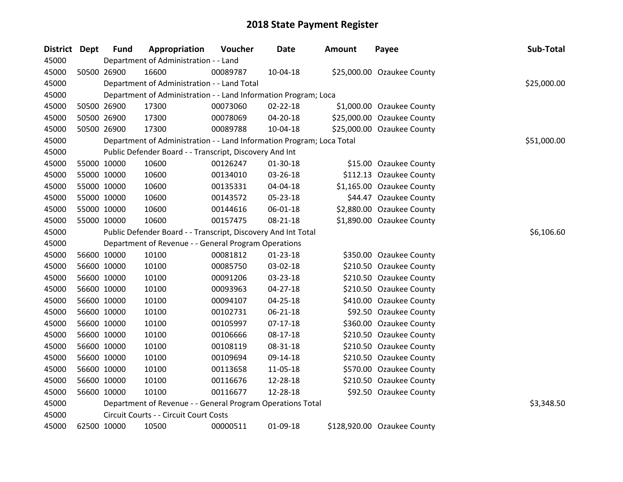| <b>District Dept</b> | <b>Fund</b> | Appropriation                                                         | Voucher  | <b>Date</b>    | Amount | Payee                       | Sub-Total   |
|----------------------|-------------|-----------------------------------------------------------------------|----------|----------------|--------|-----------------------------|-------------|
| 45000                |             | Department of Administration - - Land                                 |          |                |        |                             |             |
| 45000                | 50500 26900 | 16600                                                                 | 00089787 | 10-04-18       |        | \$25,000.00 Ozaukee County  |             |
| 45000                |             | Department of Administration - - Land Total                           |          |                |        |                             | \$25,000.00 |
| 45000                |             | Department of Administration - - Land Information Program; Loca       |          |                |        |                             |             |
| 45000                | 50500 26900 | 17300                                                                 | 00073060 | 02-22-18       |        | \$1,000.00 Ozaukee County   |             |
| 45000                | 50500 26900 | 17300                                                                 | 00078069 | 04-20-18       |        | \$25,000.00 Ozaukee County  |             |
| 45000                | 50500 26900 | 17300                                                                 | 00089788 | 10-04-18       |        | \$25,000.00 Ozaukee County  |             |
| 45000                |             | Department of Administration - - Land Information Program; Loca Total |          |                |        |                             | \$51,000.00 |
| 45000                |             | Public Defender Board - - Transcript, Discovery And Int               |          |                |        |                             |             |
| 45000                | 55000 10000 | 10600                                                                 | 00126247 | 01-30-18       |        | \$15.00 Ozaukee County      |             |
| 45000                | 55000 10000 | 10600                                                                 | 00134010 | 03-26-18       |        | \$112.13 Ozaukee County     |             |
| 45000                | 55000 10000 | 10600                                                                 | 00135331 | 04-04-18       |        | \$1,165.00 Ozaukee County   |             |
| 45000                | 55000 10000 | 10600                                                                 | 00143572 | 05-23-18       |        | \$44.47 Ozaukee County      |             |
| 45000                | 55000 10000 | 10600                                                                 | 00144616 | 06-01-18       |        | \$2,880.00 Ozaukee County   |             |
| 45000                | 55000 10000 | 10600                                                                 | 00157475 | 08-21-18       |        | \$1,890.00 Ozaukee County   |             |
| 45000                |             | Public Defender Board - - Transcript, Discovery And Int Total         |          |                |        |                             | \$6,106.60  |
| 45000                |             | Department of Revenue - - General Program Operations                  |          |                |        |                             |             |
| 45000                | 56600 10000 | 10100                                                                 | 00081812 | $01 - 23 - 18$ |        | \$350.00 Ozaukee County     |             |
| 45000                | 56600 10000 | 10100                                                                 | 00085750 | 03-02-18       |        | \$210.50 Ozaukee County     |             |
| 45000                | 56600 10000 | 10100                                                                 | 00091206 | 03-23-18       |        | \$210.50 Ozaukee County     |             |
| 45000                | 56600 10000 | 10100                                                                 | 00093963 | $04 - 27 - 18$ |        | \$210.50 Ozaukee County     |             |
| 45000                | 56600 10000 | 10100                                                                 | 00094107 | 04-25-18       |        | \$410.00 Ozaukee County     |             |
| 45000                | 56600 10000 | 10100                                                                 | 00102731 | 06-21-18       |        | \$92.50 Ozaukee County      |             |
| 45000                | 56600 10000 | 10100                                                                 | 00105997 | $07-17-18$     |        | \$360.00 Ozaukee County     |             |
| 45000                | 56600 10000 | 10100                                                                 | 00106666 | 08-17-18       |        | \$210.50 Ozaukee County     |             |
| 45000                | 56600 10000 | 10100                                                                 | 00108119 | 08-31-18       |        | \$210.50 Ozaukee County     |             |
| 45000                | 56600 10000 | 10100                                                                 | 00109694 | 09-14-18       |        | \$210.50 Ozaukee County     |             |
| 45000                | 56600 10000 | 10100                                                                 | 00113658 | 11-05-18       |        | \$570.00 Ozaukee County     |             |
| 45000                | 56600 10000 | 10100                                                                 | 00116676 | 12-28-18       |        | \$210.50 Ozaukee County     |             |
| 45000                | 56600 10000 | 10100                                                                 | 00116677 | 12-28-18       |        | \$92.50 Ozaukee County      |             |
| 45000                |             | Department of Revenue - - General Program Operations Total            |          |                |        |                             | \$3,348.50  |
| 45000                |             | Circuit Courts - - Circuit Court Costs                                |          |                |        |                             |             |
| 45000                | 62500 10000 | 10500                                                                 | 00000511 | 01-09-18       |        | \$128,920.00 Ozaukee County |             |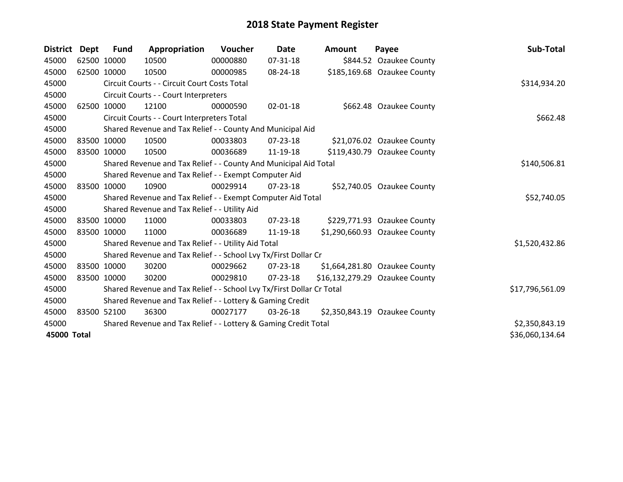| <b>District</b> | <b>Dept</b> | <b>Fund</b> | Appropriation                                                         | <b>Voucher</b> | <b>Date</b>    | <b>Amount</b> | Payee                          | Sub-Total       |
|-----------------|-------------|-------------|-----------------------------------------------------------------------|----------------|----------------|---------------|--------------------------------|-----------------|
| 45000           |             | 62500 10000 | 10500                                                                 | 00000880       | 07-31-18       |               | \$844.52 Ozaukee County        |                 |
| 45000           |             | 62500 10000 | 10500                                                                 | 00000985       | 08-24-18       |               | \$185,169.68 Ozaukee County    |                 |
| 45000           |             |             | Circuit Courts - - Circuit Court Costs Total                          |                |                |               |                                | \$314,934.20    |
| 45000           |             |             | Circuit Courts - - Court Interpreters                                 |                |                |               |                                |                 |
| 45000           |             | 62500 10000 | 12100                                                                 | 00000590       | 02-01-18       |               | \$662.48 Ozaukee County        |                 |
| 45000           |             |             | Circuit Courts - - Court Interpreters Total                           |                |                |               |                                | \$662.48        |
| 45000           |             |             | Shared Revenue and Tax Relief - - County And Municipal Aid            |                |                |               |                                |                 |
| 45000           |             | 83500 10000 | 10500                                                                 | 00033803       | 07-23-18       |               | \$21,076.02 Ozaukee County     |                 |
| 45000           |             | 83500 10000 | 10500                                                                 | 00036689       | 11-19-18       |               | \$119,430.79 Ozaukee County    |                 |
| 45000           |             |             | Shared Revenue and Tax Relief - - County And Municipal Aid Total      |                |                |               |                                | \$140,506.81    |
| 45000           |             |             | Shared Revenue and Tax Relief - - Exempt Computer Aid                 |                |                |               |                                |                 |
| 45000           |             | 83500 10000 | 10900                                                                 | 00029914       | $07 - 23 - 18$ |               | \$52,740.05 Ozaukee County     |                 |
| 45000           |             |             | Shared Revenue and Tax Relief - - Exempt Computer Aid Total           |                |                |               |                                | \$52,740.05     |
| 45000           |             |             | Shared Revenue and Tax Relief - - Utility Aid                         |                |                |               |                                |                 |
| 45000           |             | 83500 10000 | 11000                                                                 | 00033803       | $07 - 23 - 18$ |               | \$229,771.93 Ozaukee County    |                 |
| 45000           |             | 83500 10000 | 11000                                                                 | 00036689       | 11-19-18       |               | \$1,290,660.93 Ozaukee County  |                 |
| 45000           |             |             | Shared Revenue and Tax Relief - - Utility Aid Total                   |                |                |               |                                | \$1,520,432.86  |
| 45000           |             |             | Shared Revenue and Tax Relief - - School Lvy Tx/First Dollar Cr       |                |                |               |                                |                 |
| 45000           |             | 83500 10000 | 30200                                                                 | 00029662       | $07 - 23 - 18$ |               | \$1,664,281.80 Ozaukee County  |                 |
| 45000           |             | 83500 10000 | 30200                                                                 | 00029810       | $07 - 23 - 18$ |               | \$16,132,279.29 Ozaukee County |                 |
| 45000           |             |             | Shared Revenue and Tax Relief - - School Lvy Tx/First Dollar Cr Total |                |                |               |                                | \$17,796,561.09 |
| 45000           |             |             | Shared Revenue and Tax Relief - - Lottery & Gaming Credit             |                |                |               |                                |                 |
| 45000           |             | 83500 52100 | 36300                                                                 | 00027177       | 03-26-18       |               | \$2,350,843.19 Ozaukee County  |                 |
| 45000           |             |             | Shared Revenue and Tax Relief - - Lottery & Gaming Credit Total       |                |                |               |                                | \$2,350,843.19  |
| 45000 Total     |             |             |                                                                       |                |                |               |                                | \$36,060,134.64 |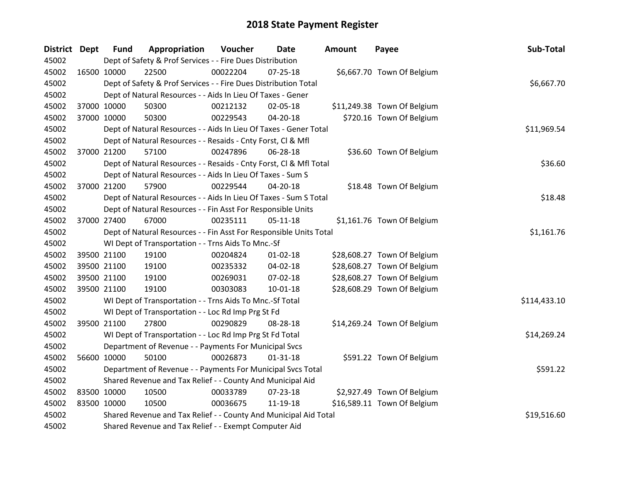| District Dept | <b>Fund</b> | Appropriation                                                      | Voucher  | <b>Date</b>    | <b>Amount</b> | Payee                       | Sub-Total    |  |  |  |
|---------------|-------------|--------------------------------------------------------------------|----------|----------------|---------------|-----------------------------|--------------|--|--|--|
| 45002         |             | Dept of Safety & Prof Services - - Fire Dues Distribution          |          |                |               |                             |              |  |  |  |
| 45002         | 16500 10000 | 22500                                                              | 00022204 | $07 - 25 - 18$ |               | \$6,667.70 Town Of Belgium  |              |  |  |  |
| 45002         |             | Dept of Safety & Prof Services - - Fire Dues Distribution Total    |          |                |               |                             | \$6,667.70   |  |  |  |
| 45002         |             | Dept of Natural Resources - - Aids In Lieu Of Taxes - Gener        |          |                |               |                             |              |  |  |  |
| 45002         | 37000 10000 | 50300                                                              | 00212132 | 02-05-18       |               | \$11,249.38 Town Of Belgium |              |  |  |  |
| 45002         | 37000 10000 | 50300                                                              | 00229543 | 04-20-18       |               | \$720.16 Town Of Belgium    |              |  |  |  |
| 45002         |             | Dept of Natural Resources - - Aids In Lieu Of Taxes - Gener Total  |          |                |               |                             | \$11,969.54  |  |  |  |
| 45002         |             | Dept of Natural Resources - - Resaids - Cnty Forst, CI & Mfl       |          |                |               |                             |              |  |  |  |
| 45002         | 37000 21200 | 57100                                                              | 00247896 | 06-28-18       |               | \$36.60 Town Of Belgium     |              |  |  |  |
| 45002         |             | Dept of Natural Resources - - Resaids - Cnty Forst, Cl & Mfl Total |          |                |               |                             | \$36.60      |  |  |  |
| 45002         |             | Dept of Natural Resources - - Aids In Lieu Of Taxes - Sum S        |          |                |               |                             |              |  |  |  |
| 45002         | 37000 21200 | 57900                                                              | 00229544 | $04 - 20 - 18$ |               | \$18.48 Town Of Belgium     |              |  |  |  |
| 45002         |             | Dept of Natural Resources - - Aids In Lieu Of Taxes - Sum S Total  |          |                |               |                             | \$18.48      |  |  |  |
| 45002         |             | Dept of Natural Resources - - Fin Asst For Responsible Units       |          |                |               |                             |              |  |  |  |
| 45002         | 37000 27400 | 67000                                                              | 00235111 | $05 - 11 - 18$ |               | \$1,161.76 Town Of Belgium  |              |  |  |  |
| 45002         |             | Dept of Natural Resources - - Fin Asst For Responsible Units Total |          |                |               |                             | \$1,161.76   |  |  |  |
| 45002         |             | WI Dept of Transportation - - Trns Aids To Mnc.-Sf                 |          |                |               |                             |              |  |  |  |
| 45002         | 39500 21100 | 19100                                                              | 00204824 | $01 - 02 - 18$ |               | \$28,608.27 Town Of Belgium |              |  |  |  |
| 45002         | 39500 21100 | 19100                                                              | 00235332 | 04-02-18       |               | \$28,608.27 Town Of Belgium |              |  |  |  |
| 45002         | 39500 21100 | 19100                                                              | 00269031 | 07-02-18       |               | \$28,608.27 Town Of Belgium |              |  |  |  |
| 45002         | 39500 21100 | 19100                                                              | 00303083 | $10 - 01 - 18$ |               | \$28,608.29 Town Of Belgium |              |  |  |  |
| 45002         |             | WI Dept of Transportation - - Trns Aids To Mnc.-Sf Total           |          |                |               |                             | \$114,433.10 |  |  |  |
| 45002         |             | WI Dept of Transportation - - Loc Rd Imp Prg St Fd                 |          |                |               |                             |              |  |  |  |
| 45002         | 39500 21100 | 27800                                                              | 00290829 | 08-28-18       |               | \$14,269.24 Town Of Belgium |              |  |  |  |
| 45002         |             | WI Dept of Transportation - - Loc Rd Imp Prg St Fd Total           |          |                |               |                             | \$14,269.24  |  |  |  |
| 45002         |             | Department of Revenue - - Payments For Municipal Svcs              |          |                |               |                             |              |  |  |  |
| 45002         | 56600 10000 | 50100                                                              | 00026873 | $01 - 31 - 18$ |               | \$591.22 Town Of Belgium    |              |  |  |  |
| 45002         |             | Department of Revenue - - Payments For Municipal Svcs Total        |          |                |               |                             | \$591.22     |  |  |  |
| 45002         |             | Shared Revenue and Tax Relief - - County And Municipal Aid         |          |                |               |                             |              |  |  |  |
| 45002         | 83500 10000 | 10500                                                              | 00033789 | 07-23-18       |               | \$2,927.49 Town Of Belgium  |              |  |  |  |
| 45002         | 83500 10000 | 10500                                                              | 00036675 | 11-19-18       |               | \$16,589.11 Town Of Belgium |              |  |  |  |
| 45002         |             | Shared Revenue and Tax Relief - - County And Municipal Aid Total   |          |                |               |                             | \$19,516.60  |  |  |  |
| 45002         |             | Shared Revenue and Tax Relief - - Exempt Computer Aid              |          |                |               |                             |              |  |  |  |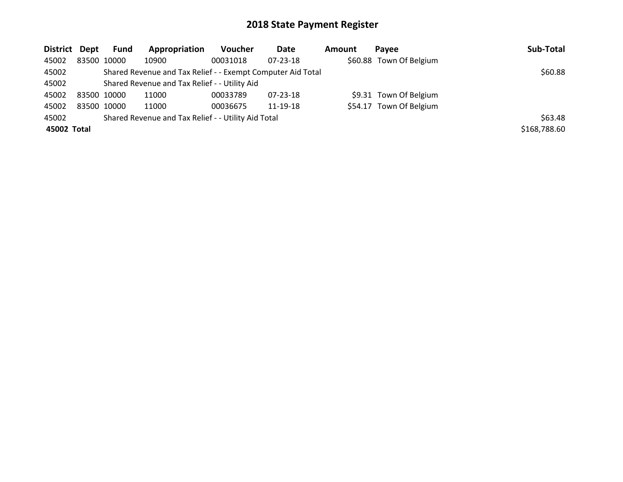| District Dept |             | <b>Fund</b> | Appropriation                                               | <b>Voucher</b> | Date           | Amount | Pavee                   | Sub-Total    |
|---------------|-------------|-------------|-------------------------------------------------------------|----------------|----------------|--------|-------------------------|--------------|
| 45002         | 83500 10000 |             | 10900                                                       | 00031018       | $07 - 23 - 18$ |        | \$60.88 Town Of Belgium |              |
| 45002         |             |             | Shared Revenue and Tax Relief - - Exempt Computer Aid Total |                |                |        |                         | \$60.88      |
| 45002         |             |             | Shared Revenue and Tax Relief - - Utility Aid               |                |                |        |                         |              |
| 45002         | 83500 10000 |             | 11000                                                       | 00033789       | 07-23-18       |        | \$9.31 Town Of Belgium  |              |
| 45002         | 83500 10000 |             | 11000                                                       | 00036675       | 11-19-18       |        | \$54.17 Town Of Belgium |              |
| 45002         |             |             | Shared Revenue and Tax Relief - - Utility Aid Total         |                |                |        |                         | \$63.48      |
| 45002 Total   |             |             |                                                             |                |                |        |                         | \$168,788.60 |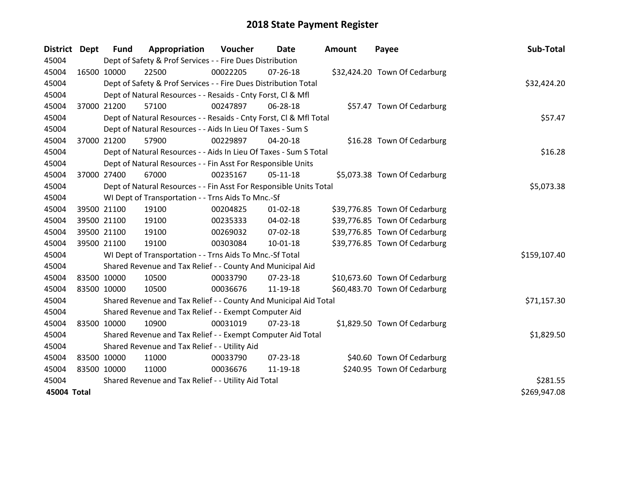| <b>District Dept</b> |             | <b>Fund</b>                                                 | Appropriation                                                      | Voucher  | Date           | <b>Amount</b> | Payee                         | Sub-Total    |
|----------------------|-------------|-------------------------------------------------------------|--------------------------------------------------------------------|----------|----------------|---------------|-------------------------------|--------------|
| 45004                |             |                                                             | Dept of Safety & Prof Services - - Fire Dues Distribution          |          |                |               |                               |              |
| 45004                | 16500 10000 |                                                             | 22500                                                              | 00022205 | $07 - 26 - 18$ |               | \$32,424.20 Town Of Cedarburg |              |
| 45004                |             |                                                             | Dept of Safety & Prof Services - - Fire Dues Distribution Total    |          |                |               |                               | \$32,424.20  |
| 45004                |             |                                                             | Dept of Natural Resources - - Resaids - Cnty Forst, CI & Mfl       |          |                |               |                               |              |
| 45004                |             | 37000 21200                                                 | 57100                                                              | 00247897 | 06-28-18       |               | \$57.47 Town Of Cedarburg     |              |
| 45004                |             |                                                             | Dept of Natural Resources - - Resaids - Cnty Forst, Cl & Mfl Total |          |                |               |                               | \$57.47      |
| 45004                |             | Dept of Natural Resources - - Aids In Lieu Of Taxes - Sum S |                                                                    |          |                |               |                               |              |
| 45004                |             | 37000 21200                                                 | 57900                                                              | 00229897 | 04-20-18       |               | \$16.28 Town Of Cedarburg     |              |
| 45004                |             |                                                             | Dept of Natural Resources - - Aids In Lieu Of Taxes - Sum S Total  |          |                |               |                               | \$16.28      |
| 45004                |             |                                                             | Dept of Natural Resources - - Fin Asst For Responsible Units       |          |                |               |                               |              |
| 45004                | 37000 27400 |                                                             | 67000                                                              | 00235167 | $05-11-18$     |               | \$5,073.38 Town Of Cedarburg  |              |
| 45004                |             |                                                             | Dept of Natural Resources - - Fin Asst For Responsible Units Total |          |                |               |                               | \$5,073.38   |
| 45004                |             |                                                             | WI Dept of Transportation - - Trns Aids To Mnc.-Sf                 |          |                |               |                               |              |
| 45004                |             | 39500 21100                                                 | 19100                                                              | 00204825 | $01 - 02 - 18$ |               | \$39,776.85 Town Of Cedarburg |              |
| 45004                |             | 39500 21100                                                 | 19100                                                              | 00235333 | 04-02-18       |               | \$39,776.85 Town Of Cedarburg |              |
| 45004                |             | 39500 21100                                                 | 19100                                                              | 00269032 | 07-02-18       |               | \$39,776.85 Town Of Cedarburg |              |
| 45004                |             | 39500 21100                                                 | 19100                                                              | 00303084 | $10 - 01 - 18$ |               | \$39,776.85 Town Of Cedarburg |              |
| 45004                |             |                                                             | WI Dept of Transportation - - Trns Aids To Mnc.-Sf Total           |          |                |               |                               | \$159,107.40 |
| 45004                |             |                                                             | Shared Revenue and Tax Relief - - County And Municipal Aid         |          |                |               |                               |              |
| 45004                | 83500 10000 |                                                             | 10500                                                              | 00033790 | 07-23-18       |               | \$10,673.60 Town Of Cedarburg |              |
| 45004                | 83500 10000 |                                                             | 10500                                                              | 00036676 | 11-19-18       |               | \$60,483.70 Town Of Cedarburg |              |
| 45004                |             |                                                             | Shared Revenue and Tax Relief - - County And Municipal Aid Total   |          |                |               |                               | \$71,157.30  |
| 45004                |             |                                                             | Shared Revenue and Tax Relief - - Exempt Computer Aid              |          |                |               |                               |              |
| 45004                | 83500 10000 |                                                             | 10900                                                              | 00031019 | 07-23-18       |               | \$1,829.50 Town Of Cedarburg  |              |
| 45004                |             |                                                             | Shared Revenue and Tax Relief - - Exempt Computer Aid Total        |          |                |               |                               | \$1,829.50   |
| 45004                |             |                                                             | Shared Revenue and Tax Relief - - Utility Aid                      |          |                |               |                               |              |
| 45004                | 83500 10000 |                                                             | 11000                                                              | 00033790 | $07 - 23 - 18$ |               | \$40.60 Town Of Cedarburg     |              |
| 45004                | 83500 10000 |                                                             | 11000                                                              | 00036676 | 11-19-18       |               | \$240.95 Town Of Cedarburg    |              |
| 45004                |             |                                                             | Shared Revenue and Tax Relief - - Utility Aid Total                |          |                |               |                               | \$281.55     |
| 45004 Total          |             |                                                             |                                                                    |          |                |               |                               | \$269,947.08 |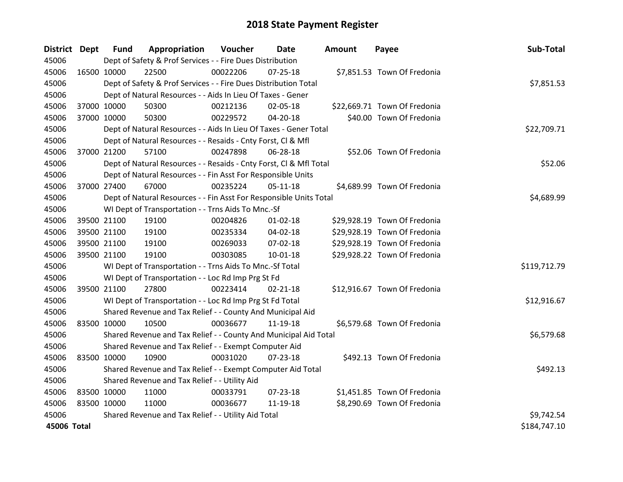| District Dept |             | <b>Fund</b> | Appropriation                                                      | Voucher  | Date           | <b>Amount</b> | Payee                        | Sub-Total    |  |  |  |
|---------------|-------------|-------------|--------------------------------------------------------------------|----------|----------------|---------------|------------------------------|--------------|--|--|--|
| 45006         |             |             | Dept of Safety & Prof Services - - Fire Dues Distribution          |          |                |               |                              |              |  |  |  |
| 45006         | 16500 10000 |             | 22500                                                              | 00022206 | $07 - 25 - 18$ |               | \$7,851.53 Town Of Fredonia  |              |  |  |  |
| 45006         |             |             | Dept of Safety & Prof Services - - Fire Dues Distribution Total    |          |                |               |                              | \$7,851.53   |  |  |  |
| 45006         |             |             | Dept of Natural Resources - - Aids In Lieu Of Taxes - Gener        |          |                |               |                              |              |  |  |  |
| 45006         | 37000 10000 |             | 50300                                                              | 00212136 | 02-05-18       |               | \$22,669.71 Town Of Fredonia |              |  |  |  |
| 45006         | 37000 10000 |             | 50300                                                              | 00229572 | 04-20-18       |               | \$40.00 Town Of Fredonia     |              |  |  |  |
| 45006         |             |             | Dept of Natural Resources - - Aids In Lieu Of Taxes - Gener Total  |          |                |               |                              | \$22,709.71  |  |  |  |
| 45006         |             |             | Dept of Natural Resources - - Resaids - Cnty Forst, Cl & Mfl       |          |                |               |                              |              |  |  |  |
| 45006         |             | 37000 21200 | 57100                                                              | 00247898 | 06-28-18       |               | \$52.06 Town Of Fredonia     |              |  |  |  |
| 45006         |             |             | Dept of Natural Resources - - Resaids - Cnty Forst, Cl & Mfl Total |          |                |               |                              | \$52.06      |  |  |  |
| 45006         |             |             | Dept of Natural Resources - - Fin Asst For Responsible Units       |          |                |               |                              |              |  |  |  |
| 45006         |             | 37000 27400 | 67000                                                              | 00235224 | $05 - 11 - 18$ |               | \$4,689.99 Town Of Fredonia  |              |  |  |  |
| 45006         |             |             | Dept of Natural Resources - - Fin Asst For Responsible Units Total |          |                |               |                              | \$4,689.99   |  |  |  |
| 45006         |             |             | WI Dept of Transportation - - Trns Aids To Mnc.-Sf                 |          |                |               |                              |              |  |  |  |
| 45006         | 39500 21100 |             | 19100                                                              | 00204826 | $01 - 02 - 18$ |               | \$29,928.19 Town Of Fredonia |              |  |  |  |
| 45006         |             | 39500 21100 | 19100                                                              | 00235334 | 04-02-18       |               | \$29,928.19 Town Of Fredonia |              |  |  |  |
| 45006         | 39500 21100 |             | 19100                                                              | 00269033 | 07-02-18       |               | \$29,928.19 Town Of Fredonia |              |  |  |  |
| 45006         | 39500 21100 |             | 19100                                                              | 00303085 | 10-01-18       |               | \$29,928.22 Town Of Fredonia |              |  |  |  |
| 45006         |             |             | WI Dept of Transportation - - Trns Aids To Mnc.-Sf Total           |          |                |               |                              | \$119,712.79 |  |  |  |
| 45006         |             |             | WI Dept of Transportation - - Loc Rd Imp Prg St Fd                 |          |                |               |                              |              |  |  |  |
| 45006         |             | 39500 21100 | 27800                                                              | 00223414 | $02 - 21 - 18$ |               | \$12,916.67 Town Of Fredonia |              |  |  |  |
| 45006         |             |             | WI Dept of Transportation - - Loc Rd Imp Prg St Fd Total           |          |                |               |                              | \$12,916.67  |  |  |  |
| 45006         |             |             | Shared Revenue and Tax Relief - - County And Municipal Aid         |          |                |               |                              |              |  |  |  |
| 45006         | 83500 10000 |             | 10500                                                              | 00036677 | 11-19-18       |               | \$6,579.68 Town Of Fredonia  |              |  |  |  |
| 45006         |             |             | Shared Revenue and Tax Relief - - County And Municipal Aid Total   |          |                |               |                              | \$6,579.68   |  |  |  |
| 45006         |             |             | Shared Revenue and Tax Relief - - Exempt Computer Aid              |          |                |               |                              |              |  |  |  |
| 45006         | 83500 10000 |             | 10900                                                              | 00031020 | $07 - 23 - 18$ |               | \$492.13 Town Of Fredonia    |              |  |  |  |
| 45006         |             |             | Shared Revenue and Tax Relief - - Exempt Computer Aid Total        |          |                |               |                              | \$492.13     |  |  |  |
| 45006         |             |             | Shared Revenue and Tax Relief - - Utility Aid                      |          |                |               |                              |              |  |  |  |
| 45006         | 83500 10000 |             | 11000                                                              | 00033791 | $07 - 23 - 18$ |               | \$1,451.85 Town Of Fredonia  |              |  |  |  |
| 45006         | 83500 10000 |             | 11000                                                              | 00036677 | 11-19-18       |               | \$8,290.69 Town Of Fredonia  |              |  |  |  |
| 45006         |             |             | Shared Revenue and Tax Relief - - Utility Aid Total                |          |                |               |                              | \$9,742.54   |  |  |  |
| 45006 Total   |             |             |                                                                    |          |                |               |                              | \$184,747.10 |  |  |  |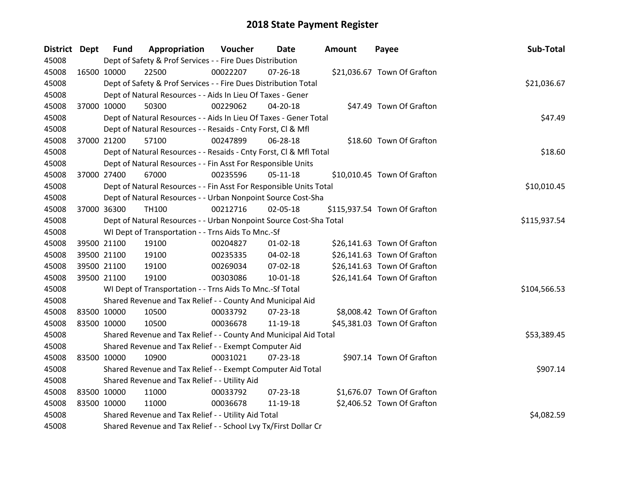| District Dept |             | <b>Fund</b> | Appropriation                                                      | Voucher  | Date           | <b>Amount</b> | Payee                        | Sub-Total    |
|---------------|-------------|-------------|--------------------------------------------------------------------|----------|----------------|---------------|------------------------------|--------------|
| 45008         |             |             | Dept of Safety & Prof Services - - Fire Dues Distribution          |          |                |               |                              |              |
| 45008         | 16500 10000 |             | 22500                                                              | 00022207 | $07 - 26 - 18$ |               | \$21,036.67 Town Of Grafton  |              |
| 45008         |             |             | Dept of Safety & Prof Services - - Fire Dues Distribution Total    |          |                |               |                              | \$21,036.67  |
| 45008         |             |             | Dept of Natural Resources - - Aids In Lieu Of Taxes - Gener        |          |                |               |                              |              |
| 45008         |             | 37000 10000 | 50300                                                              | 00229062 | 04-20-18       |               | \$47.49 Town Of Grafton      |              |
| 45008         |             |             | Dept of Natural Resources - - Aids In Lieu Of Taxes - Gener Total  |          |                |               |                              | \$47.49      |
| 45008         |             |             | Dept of Natural Resources - - Resaids - Cnty Forst, Cl & Mfl       |          |                |               |                              |              |
| 45008         |             | 37000 21200 | 57100                                                              | 00247899 | 06-28-18       |               | \$18.60 Town Of Grafton      |              |
| 45008         |             |             | Dept of Natural Resources - - Resaids - Cnty Forst, CI & Mfl Total |          |                |               |                              | \$18.60      |
| 45008         |             |             | Dept of Natural Resources - - Fin Asst For Responsible Units       |          |                |               |                              |              |
| 45008         |             | 37000 27400 | 67000                                                              | 00235596 | $05-11-18$     |               | \$10,010.45 Town Of Grafton  |              |
| 45008         |             |             | Dept of Natural Resources - - Fin Asst For Responsible Units Total |          |                |               |                              | \$10,010.45  |
| 45008         |             |             | Dept of Natural Resources - - Urban Nonpoint Source Cost-Sha       |          |                |               |                              |              |
| 45008         |             | 37000 36300 | <b>TH100</b>                                                       | 00212716 | 02-05-18       |               | \$115,937.54 Town Of Grafton |              |
| 45008         |             |             | Dept of Natural Resources - - Urban Nonpoint Source Cost-Sha Total |          |                |               |                              | \$115,937.54 |
| 45008         |             |             | WI Dept of Transportation - - Trns Aids To Mnc.-Sf                 |          |                |               |                              |              |
| 45008         |             | 39500 21100 | 19100                                                              | 00204827 | $01 - 02 - 18$ |               | \$26,141.63 Town Of Grafton  |              |
| 45008         |             | 39500 21100 | 19100                                                              | 00235335 | 04-02-18       |               | \$26,141.63 Town Of Grafton  |              |
| 45008         |             | 39500 21100 | 19100                                                              | 00269034 | 07-02-18       |               | \$26,141.63 Town Of Grafton  |              |
| 45008         |             | 39500 21100 | 19100                                                              | 00303086 | $10 - 01 - 18$ |               | \$26,141.64 Town Of Grafton  |              |
| 45008         |             |             | WI Dept of Transportation - - Trns Aids To Mnc.-Sf Total           |          |                |               |                              | \$104,566.53 |
| 45008         |             |             | Shared Revenue and Tax Relief - - County And Municipal Aid         |          |                |               |                              |              |
| 45008         | 83500 10000 |             | 10500                                                              | 00033792 | $07 - 23 - 18$ |               | \$8,008.42 Town Of Grafton   |              |
| 45008         | 83500 10000 |             | 10500                                                              | 00036678 | 11-19-18       |               | \$45,381.03 Town Of Grafton  |              |
| 45008         |             |             | Shared Revenue and Tax Relief - - County And Municipal Aid Total   |          |                |               |                              | \$53,389.45  |
| 45008         |             |             | Shared Revenue and Tax Relief - - Exempt Computer Aid              |          |                |               |                              |              |
| 45008         | 83500 10000 |             | 10900                                                              | 00031021 | $07 - 23 - 18$ |               | \$907.14 Town Of Grafton     |              |
| 45008         |             |             | Shared Revenue and Tax Relief - - Exempt Computer Aid Total        |          |                |               |                              | \$907.14     |
| 45008         |             |             | Shared Revenue and Tax Relief - - Utility Aid                      |          |                |               |                              |              |
| 45008         | 83500 10000 |             | 11000                                                              | 00033792 | $07 - 23 - 18$ |               | \$1,676.07 Town Of Grafton   |              |
| 45008         | 83500 10000 |             | 11000                                                              | 00036678 | 11-19-18       |               | \$2,406.52 Town Of Grafton   |              |
| 45008         |             |             | Shared Revenue and Tax Relief - - Utility Aid Total                |          |                |               |                              | \$4,082.59   |
| 45008         |             |             | Shared Revenue and Tax Relief - - School Lvy Tx/First Dollar Cr    |          |                |               |                              |              |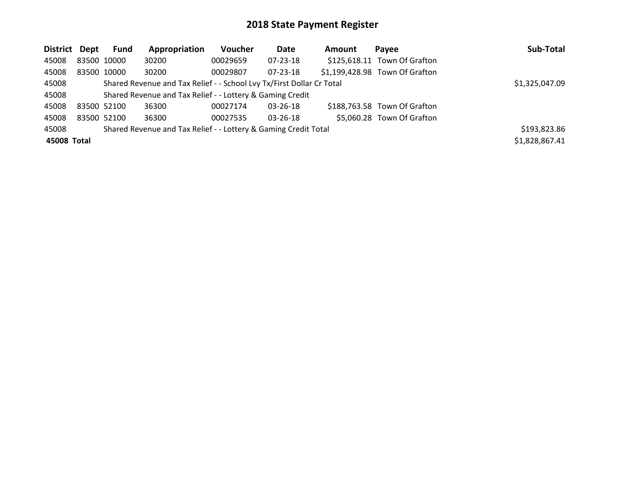| District Dept |             | <b>Fund</b> | Appropriation                                                         | <b>Voucher</b> | Date           | Amount | Payee                          | Sub-Total      |
|---------------|-------------|-------------|-----------------------------------------------------------------------|----------------|----------------|--------|--------------------------------|----------------|
| 45008         | 83500 10000 |             | 30200                                                                 | 00029659       | 07-23-18       |        | \$125,618.11 Town Of Grafton   |                |
| 45008         |             | 83500 10000 | 30200                                                                 | 00029807       | $07 - 23 - 18$ |        | \$1,199,428.98 Town Of Grafton |                |
| 45008         |             |             | Shared Revenue and Tax Relief - - School Lvy Tx/First Dollar Cr Total |                |                |        |                                | \$1,325,047.09 |
| 45008         |             |             | Shared Revenue and Tax Relief - - Lottery & Gaming Credit             |                |                |        |                                |                |
| 45008         | 83500 52100 |             | 36300                                                                 | 00027174       | $03 - 26 - 18$ |        | \$188,763.58 Town Of Grafton   |                |
| 45008         |             | 83500 52100 | 36300                                                                 | 00027535       | $03 - 26 - 18$ |        | \$5,060.28 Town Of Grafton     |                |
| 45008         |             |             | Shared Revenue and Tax Relief - - Lottery & Gaming Credit Total       |                |                |        |                                | \$193,823.86   |
| 45008 Total   |             |             |                                                                       |                |                |        |                                | \$1,828,867.41 |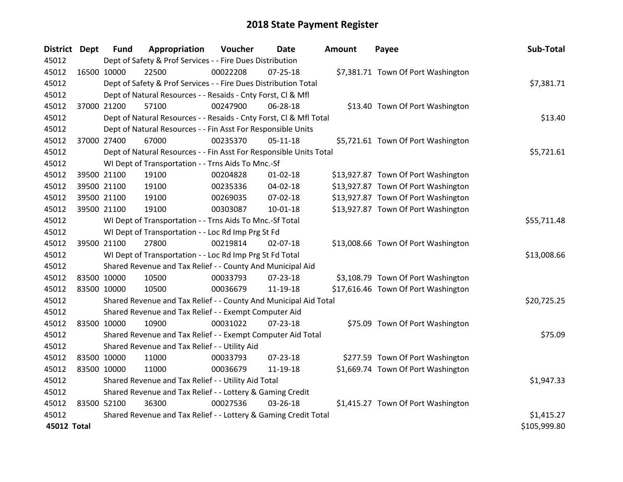| <b>District</b> | <b>Dept</b> | <b>Fund</b>                                               | Appropriation                                                      | Voucher  | Date           | <b>Amount</b> | Payee                               | Sub-Total    |  |  |  |
|-----------------|-------------|-----------------------------------------------------------|--------------------------------------------------------------------|----------|----------------|---------------|-------------------------------------|--------------|--|--|--|
| 45012           |             |                                                           | Dept of Safety & Prof Services - - Fire Dues Distribution          |          |                |               |                                     |              |  |  |  |
| 45012           | 16500 10000 |                                                           | 22500                                                              | 00022208 | $07 - 25 - 18$ |               | \$7,381.71 Town Of Port Washington  |              |  |  |  |
| 45012           |             |                                                           | Dept of Safety & Prof Services - - Fire Dues Distribution Total    |          |                |               |                                     | \$7,381.71   |  |  |  |
| 45012           |             |                                                           | Dept of Natural Resources - - Resaids - Cnty Forst, Cl & Mfl       |          |                |               |                                     |              |  |  |  |
| 45012           |             | 37000 21200                                               | 57100                                                              | 00247900 | 06-28-18       |               | \$13.40 Town Of Port Washington     |              |  |  |  |
| 45012           |             |                                                           | Dept of Natural Resources - - Resaids - Cnty Forst, CI & Mfl Total |          |                |               |                                     | \$13.40      |  |  |  |
| 45012           |             |                                                           | Dept of Natural Resources - - Fin Asst For Responsible Units       |          |                |               |                                     |              |  |  |  |
| 45012           | 37000 27400 |                                                           | 67000                                                              | 00235370 | $05 - 11 - 18$ |               | \$5,721.61 Town Of Port Washington  |              |  |  |  |
| 45012           |             |                                                           | Dept of Natural Resources - - Fin Asst For Responsible Units Total |          |                |               |                                     | \$5,721.61   |  |  |  |
| 45012           |             |                                                           | WI Dept of Transportation - - Trns Aids To Mnc.-Sf                 |          |                |               |                                     |              |  |  |  |
| 45012           |             | 39500 21100                                               | 19100                                                              | 00204828 | $01 - 02 - 18$ |               | \$13,927.87 Town Of Port Washington |              |  |  |  |
| 45012           | 39500 21100 |                                                           | 19100                                                              | 00235336 | 04-02-18       |               | \$13,927.87 Town Of Port Washington |              |  |  |  |
| 45012           | 39500 21100 |                                                           | 19100                                                              | 00269035 | 07-02-18       |               | \$13,927.87 Town Of Port Washington |              |  |  |  |
| 45012           | 39500 21100 |                                                           | 19100                                                              | 00303087 | 10-01-18       |               | \$13,927.87 Town Of Port Washington |              |  |  |  |
| 45012           |             |                                                           | WI Dept of Transportation - - Trns Aids To Mnc.-Sf Total           |          |                |               |                                     | \$55,711.48  |  |  |  |
| 45012           |             |                                                           | WI Dept of Transportation - - Loc Rd Imp Prg St Fd                 |          |                |               |                                     |              |  |  |  |
| 45012           | 39500 21100 |                                                           | 27800                                                              | 00219814 | 02-07-18       |               | \$13,008.66 Town Of Port Washington |              |  |  |  |
| 45012           |             |                                                           | WI Dept of Transportation - - Loc Rd Imp Prg St Fd Total           |          |                |               |                                     | \$13,008.66  |  |  |  |
| 45012           |             |                                                           | Shared Revenue and Tax Relief - - County And Municipal Aid         |          |                |               |                                     |              |  |  |  |
| 45012           | 83500 10000 |                                                           | 10500                                                              | 00033793 | $07 - 23 - 18$ |               | \$3,108.79 Town Of Port Washington  |              |  |  |  |
| 45012           | 83500 10000 |                                                           | 10500                                                              | 00036679 | 11-19-18       |               | \$17,616.46 Town Of Port Washington |              |  |  |  |
| 45012           |             |                                                           | Shared Revenue and Tax Relief - - County And Municipal Aid Total   |          |                |               |                                     | \$20,725.25  |  |  |  |
| 45012           |             |                                                           | Shared Revenue and Tax Relief - - Exempt Computer Aid              |          |                |               |                                     |              |  |  |  |
| 45012           | 83500 10000 |                                                           | 10900                                                              | 00031022 | 07-23-18       |               | \$75.09 Town Of Port Washington     |              |  |  |  |
| 45012           |             |                                                           | Shared Revenue and Tax Relief - - Exempt Computer Aid Total        |          |                |               |                                     | \$75.09      |  |  |  |
| 45012           |             |                                                           | Shared Revenue and Tax Relief - - Utility Aid                      |          |                |               |                                     |              |  |  |  |
| 45012           | 83500 10000 |                                                           | 11000                                                              | 00033793 | 07-23-18       |               | \$277.59 Town Of Port Washington    |              |  |  |  |
| 45012           | 83500 10000 |                                                           | 11000                                                              | 00036679 | 11-19-18       |               | \$1,669.74 Town Of Port Washington  |              |  |  |  |
| 45012           |             |                                                           | Shared Revenue and Tax Relief - - Utility Aid Total                |          |                |               |                                     | \$1,947.33   |  |  |  |
| 45012           |             | Shared Revenue and Tax Relief - - Lottery & Gaming Credit |                                                                    |          |                |               |                                     |              |  |  |  |
| 45012           | 83500 52100 |                                                           | 36300                                                              | 00027536 | 03-26-18       |               | \$1,415.27 Town Of Port Washington  |              |  |  |  |
| 45012           |             |                                                           | Shared Revenue and Tax Relief - - Lottery & Gaming Credit Total    |          |                |               |                                     | \$1,415.27   |  |  |  |
| 45012 Total     |             |                                                           |                                                                    |          |                |               |                                     | \$105,999.80 |  |  |  |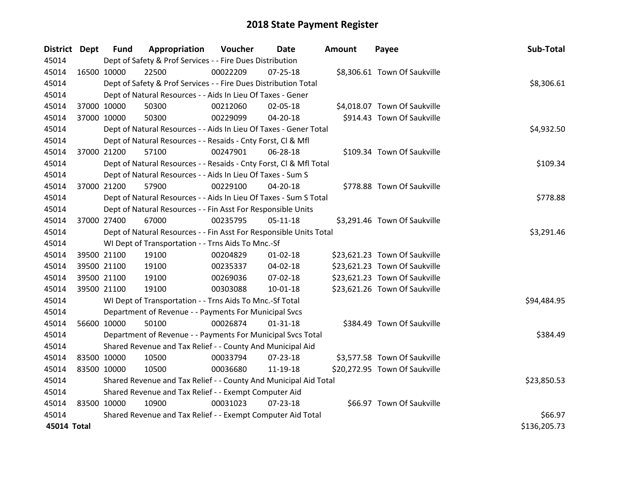| District Dept |             | <b>Fund</b> | Appropriation                                                      | Voucher  | Date           | <b>Amount</b> | Payee                         | Sub-Total    |  |  |  |
|---------------|-------------|-------------|--------------------------------------------------------------------|----------|----------------|---------------|-------------------------------|--------------|--|--|--|
| 45014         |             |             | Dept of Safety & Prof Services - - Fire Dues Distribution          |          |                |               |                               |              |  |  |  |
| 45014         | 16500 10000 |             | 22500                                                              | 00022209 | $07 - 25 - 18$ |               | \$8,306.61 Town Of Saukville  |              |  |  |  |
| 45014         |             |             | Dept of Safety & Prof Services - - Fire Dues Distribution Total    |          |                |               |                               | \$8,306.61   |  |  |  |
| 45014         |             |             | Dept of Natural Resources - - Aids In Lieu Of Taxes - Gener        |          |                |               |                               |              |  |  |  |
| 45014         | 37000 10000 |             | 50300                                                              | 00212060 | 02-05-18       |               | \$4,018.07 Town Of Saukville  |              |  |  |  |
| 45014         | 37000 10000 |             | 50300                                                              | 00229099 | 04-20-18       |               | \$914.43 Town Of Saukville    |              |  |  |  |
| 45014         |             |             | Dept of Natural Resources - - Aids In Lieu Of Taxes - Gener Total  |          |                |               |                               | \$4,932.50   |  |  |  |
| 45014         |             |             | Dept of Natural Resources - - Resaids - Cnty Forst, Cl & Mfl       |          |                |               |                               |              |  |  |  |
| 45014         | 37000 21200 |             | 57100                                                              | 00247901 | 06-28-18       |               | \$109.34 Town Of Saukville    |              |  |  |  |
| 45014         |             |             | Dept of Natural Resources - - Resaids - Cnty Forst, Cl & Mfl Total |          |                |               |                               | \$109.34     |  |  |  |
| 45014         |             |             | Dept of Natural Resources - - Aids In Lieu Of Taxes - Sum S        |          |                |               |                               |              |  |  |  |
| 45014         |             | 37000 21200 | 57900                                                              | 00229100 | 04-20-18       |               | \$778.88 Town Of Saukville    |              |  |  |  |
| 45014         |             |             | Dept of Natural Resources - - Aids In Lieu Of Taxes - Sum S Total  |          |                |               |                               | \$778.88     |  |  |  |
| 45014         |             |             | Dept of Natural Resources - - Fin Asst For Responsible Units       |          |                |               |                               |              |  |  |  |
| 45014         | 37000 27400 |             | 67000                                                              | 00235795 | 05-11-18       |               | \$3,291.46 Town Of Saukville  |              |  |  |  |
| 45014         |             |             | Dept of Natural Resources - - Fin Asst For Responsible Units Total |          |                |               |                               | \$3,291.46   |  |  |  |
| 45014         |             |             | WI Dept of Transportation - - Trns Aids To Mnc.-Sf                 |          |                |               |                               |              |  |  |  |
| 45014         |             | 39500 21100 | 19100                                                              | 00204829 | $01 - 02 - 18$ |               | \$23,621.23 Town Of Saukville |              |  |  |  |
| 45014         |             | 39500 21100 | 19100                                                              | 00235337 | 04-02-18       |               | \$23,621.23 Town Of Saukville |              |  |  |  |
| 45014         |             | 39500 21100 | 19100                                                              | 00269036 | 07-02-18       |               | \$23,621.23 Town Of Saukville |              |  |  |  |
| 45014         | 39500 21100 |             | 19100                                                              | 00303088 | $10 - 01 - 18$ |               | \$23,621.26 Town Of Saukville |              |  |  |  |
| 45014         |             |             | WI Dept of Transportation - - Trns Aids To Mnc.-Sf Total           |          |                |               |                               | \$94,484.95  |  |  |  |
| 45014         |             |             | Department of Revenue - - Payments For Municipal Svcs              |          |                |               |                               |              |  |  |  |
| 45014         | 56600 10000 |             | 50100                                                              | 00026874 | $01 - 31 - 18$ |               | \$384.49 Town Of Saukville    |              |  |  |  |
| 45014         |             |             | Department of Revenue - - Payments For Municipal Svcs Total        |          |                |               |                               | \$384.49     |  |  |  |
| 45014         |             |             | Shared Revenue and Tax Relief - - County And Municipal Aid         |          |                |               |                               |              |  |  |  |
| 45014         | 83500 10000 |             | 10500                                                              | 00033794 | 07-23-18       |               | \$3,577.58 Town Of Saukville  |              |  |  |  |
| 45014         | 83500 10000 |             | 10500                                                              | 00036680 | 11-19-18       |               | \$20,272.95 Town Of Saukville |              |  |  |  |
| 45014         |             |             | Shared Revenue and Tax Relief - - County And Municipal Aid Total   |          |                |               |                               | \$23,850.53  |  |  |  |
| 45014         |             |             | Shared Revenue and Tax Relief - - Exempt Computer Aid              |          |                |               |                               |              |  |  |  |
| 45014         | 83500 10000 |             | 10900                                                              | 00031023 | $07 - 23 - 18$ |               | \$66.97 Town Of Saukville     |              |  |  |  |
| 45014         |             |             | Shared Revenue and Tax Relief - - Exempt Computer Aid Total        |          |                |               |                               | \$66.97      |  |  |  |
| 45014 Total   |             |             |                                                                    |          |                |               |                               | \$136,205.73 |  |  |  |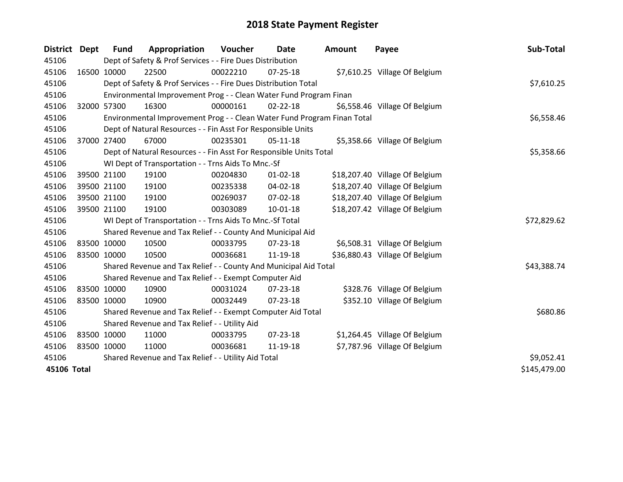| <b>District</b> | Dept        | Fund        | Appropriation                                                           | Voucher    | Date           | <b>Amount</b> | Payee                          | Sub-Total    |
|-----------------|-------------|-------------|-------------------------------------------------------------------------|------------|----------------|---------------|--------------------------------|--------------|
| 45106           |             |             | Dept of Safety & Prof Services - - Fire Dues Distribution               |            |                |               |                                |              |
| 45106           | 16500 10000 |             | 22500                                                                   | 00022210   | $07 - 25 - 18$ |               | \$7,610.25 Village Of Belgium  |              |
| 45106           |             |             | Dept of Safety & Prof Services - - Fire Dues Distribution Total         |            |                |               |                                | \$7,610.25   |
| 45106           |             |             | Environmental Improvement Prog - - Clean Water Fund Program Finan       |            |                |               |                                |              |
| 45106           |             | 32000 57300 | 16300                                                                   | 00000161   | $02 - 22 - 18$ |               | \$6,558.46 Village Of Belgium  |              |
| 45106           |             |             | Environmental Improvement Prog - - Clean Water Fund Program Finan Total | \$6,558.46 |                |               |                                |              |
| 45106           |             |             | Dept of Natural Resources - - Fin Asst For Responsible Units            |            |                |               |                                |              |
| 45106           | 37000 27400 |             | 67000                                                                   | 00235301   | $05 - 11 - 18$ |               | \$5,358.66 Village Of Belgium  |              |
| 45106           |             |             | Dept of Natural Resources - - Fin Asst For Responsible Units Total      |            |                |               |                                | \$5,358.66   |
| 45106           |             |             | WI Dept of Transportation - - Trns Aids To Mnc.-Sf                      |            |                |               |                                |              |
| 45106           |             | 39500 21100 | 19100                                                                   | 00204830   | $01 - 02 - 18$ |               | \$18,207.40 Village Of Belgium |              |
| 45106           |             | 39500 21100 | 19100                                                                   | 00235338   | 04-02-18       |               | \$18,207.40 Village Of Belgium |              |
| 45106           |             | 39500 21100 | 19100                                                                   | 00269037   | 07-02-18       |               | \$18,207.40 Village Of Belgium |              |
| 45106           | 39500 21100 |             | 19100                                                                   | 00303089   | $10 - 01 - 18$ |               | \$18,207.42 Village Of Belgium |              |
| 45106           |             |             | WI Dept of Transportation - - Trns Aids To Mnc.-Sf Total                |            |                |               |                                | \$72,829.62  |
| 45106           |             |             | Shared Revenue and Tax Relief - - County And Municipal Aid              |            |                |               |                                |              |
| 45106           |             | 83500 10000 | 10500                                                                   | 00033795   | 07-23-18       |               | \$6,508.31 Village Of Belgium  |              |
| 45106           |             | 83500 10000 | 10500                                                                   | 00036681   | 11-19-18       |               | \$36,880.43 Village Of Belgium |              |
| 45106           |             |             | Shared Revenue and Tax Relief - - County And Municipal Aid Total        |            |                |               |                                | \$43,388.74  |
| 45106           |             |             | Shared Revenue and Tax Relief - - Exempt Computer Aid                   |            |                |               |                                |              |
| 45106           | 83500 10000 |             | 10900                                                                   | 00031024   | $07 - 23 - 18$ |               | \$328.76 Village Of Belgium    |              |
| 45106           | 83500 10000 |             | 10900                                                                   | 00032449   | 07-23-18       |               | \$352.10 Village Of Belgium    |              |
| 45106           |             |             | Shared Revenue and Tax Relief - - Exempt Computer Aid Total             |            | \$680.86       |               |                                |              |
| 45106           |             |             | Shared Revenue and Tax Relief - - Utility Aid                           |            |                |               |                                |              |
| 45106           | 83500 10000 |             | 11000                                                                   | 00033795   | 07-23-18       |               | \$1,264.45 Village Of Belgium  |              |
| 45106           | 83500 10000 |             | 11000                                                                   | 00036681   | 11-19-18       |               | \$7,787.96 Village Of Belgium  |              |
| 45106           |             |             | Shared Revenue and Tax Relief - - Utility Aid Total                     |            |                |               |                                | \$9,052.41   |
| 45106 Total     |             |             |                                                                         |            |                |               |                                | \$145,479.00 |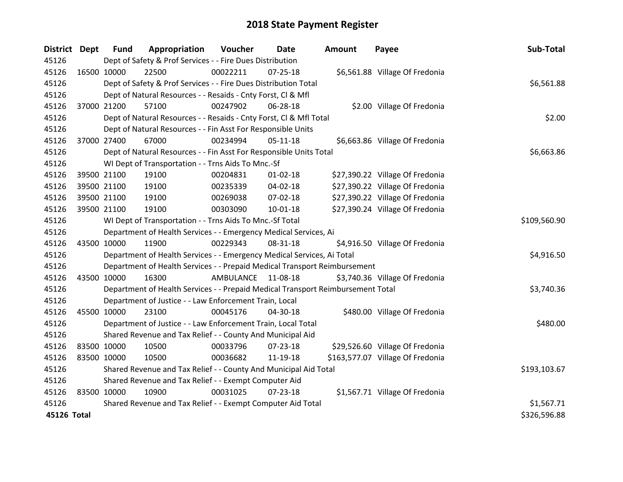| <b>District Dept</b> |             | <b>Fund</b> | Appropriation                                                                   | Voucher   | <b>Date</b>    | <b>Amount</b> | Payee                            | Sub-Total    |
|----------------------|-------------|-------------|---------------------------------------------------------------------------------|-----------|----------------|---------------|----------------------------------|--------------|
| 45126                |             |             | Dept of Safety & Prof Services - - Fire Dues Distribution                       |           |                |               |                                  |              |
| 45126                | 16500 10000 |             | 22500                                                                           | 00022211  | $07 - 25 - 18$ |               | \$6,561.88 Village Of Fredonia   |              |
| 45126                |             |             | Dept of Safety & Prof Services - - Fire Dues Distribution Total                 |           |                |               |                                  | \$6,561.88   |
| 45126                |             |             | Dept of Natural Resources - - Resaids - Cnty Forst, CI & Mfl                    |           |                |               |                                  |              |
| 45126                |             | 37000 21200 | 57100                                                                           | 00247902  | 06-28-18       |               | \$2.00 Village Of Fredonia       |              |
| 45126                |             |             | Dept of Natural Resources - - Resaids - Cnty Forst, Cl & Mfl Total              |           | \$2.00         |               |                                  |              |
| 45126                |             |             | Dept of Natural Resources - - Fin Asst For Responsible Units                    |           |                |               |                                  |              |
| 45126                |             | 37000 27400 | 67000                                                                           | 00234994  | $05-11-18$     |               | \$6,663.86 Village Of Fredonia   |              |
| 45126                |             |             | Dept of Natural Resources - - Fin Asst For Responsible Units Total              |           |                |               |                                  | \$6,663.86   |
| 45126                |             |             | WI Dept of Transportation - - Trns Aids To Mnc.-Sf                              |           |                |               |                                  |              |
| 45126                |             | 39500 21100 | 19100                                                                           | 00204831  | $01 - 02 - 18$ |               | \$27,390.22 Village Of Fredonia  |              |
| 45126                |             | 39500 21100 | 19100                                                                           | 00235339  | 04-02-18       |               | \$27,390.22 Village Of Fredonia  |              |
| 45126                |             | 39500 21100 | 19100                                                                           | 00269038  | 07-02-18       |               | \$27,390.22 Village Of Fredonia  |              |
| 45126                | 39500 21100 |             | 19100                                                                           | 00303090  | $10 - 01 - 18$ |               | \$27,390.24 Village Of Fredonia  |              |
| 45126                |             |             | WI Dept of Transportation - - Trns Aids To Mnc.-Sf Total                        |           |                |               |                                  | \$109,560.90 |
| 45126                |             |             | Department of Health Services - - Emergency Medical Services, Ai                |           |                |               |                                  |              |
| 45126                | 43500 10000 |             | 11900                                                                           | 00229343  | 08-31-18       |               | \$4,916.50 Village Of Fredonia   |              |
| 45126                |             |             | Department of Health Services - - Emergency Medical Services, Ai Total          |           |                |               |                                  | \$4,916.50   |
| 45126                |             |             | Department of Health Services - - Prepaid Medical Transport Reimbursement       |           |                |               |                                  |              |
| 45126                | 43500 10000 |             | 16300                                                                           | AMBULANCE | 11-08-18       |               | \$3,740.36 Village Of Fredonia   |              |
| 45126                |             |             | Department of Health Services - - Prepaid Medical Transport Reimbursement Total |           |                |               |                                  | \$3,740.36   |
| 45126                |             |             | Department of Justice - - Law Enforcement Train, Local                          |           |                |               |                                  |              |
| 45126                | 45500 10000 |             | 23100                                                                           | 00045176  | 04-30-18       |               | \$480.00 Village Of Fredonia     |              |
| 45126                |             |             | Department of Justice - - Law Enforcement Train, Local Total                    |           |                |               |                                  | \$480.00     |
| 45126                |             |             | Shared Revenue and Tax Relief - - County And Municipal Aid                      |           |                |               |                                  |              |
| 45126                | 83500 10000 |             | 10500                                                                           | 00033796  | 07-23-18       |               | \$29,526.60 Village Of Fredonia  |              |
| 45126                | 83500 10000 |             | 10500                                                                           | 00036682  | 11-19-18       |               | \$163,577.07 Village Of Fredonia |              |
| 45126                |             |             | Shared Revenue and Tax Relief - - County And Municipal Aid Total                |           |                |               |                                  | \$193,103.67 |
| 45126                |             |             | Shared Revenue and Tax Relief - - Exempt Computer Aid                           |           |                |               |                                  |              |
| 45126                | 83500 10000 |             | 10900                                                                           | 00031025  | $07 - 23 - 18$ |               | \$1,567.71 Village Of Fredonia   |              |
| 45126                |             |             | Shared Revenue and Tax Relief - - Exempt Computer Aid Total                     |           |                |               |                                  | \$1,567.71   |
| 45126 Total          |             |             |                                                                                 |           |                |               |                                  | \$326,596.88 |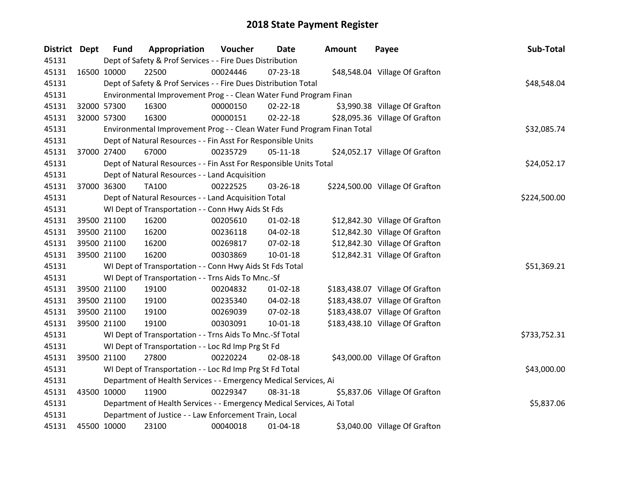| <b>District Dept</b> | <b>Fund</b> | Appropriation                                                           | Voucher  | Date           | <b>Amount</b> | Payee                           | Sub-Total    |
|----------------------|-------------|-------------------------------------------------------------------------|----------|----------------|---------------|---------------------------------|--------------|
| 45131                |             | Dept of Safety & Prof Services - - Fire Dues Distribution               |          |                |               |                                 |              |
| 45131                | 16500 10000 | 22500                                                                   | 00024446 | 07-23-18       |               | \$48,548.04 Village Of Grafton  |              |
| 45131                |             | Dept of Safety & Prof Services - - Fire Dues Distribution Total         |          |                |               |                                 | \$48,548.04  |
| 45131                |             | Environmental Improvement Prog - - Clean Water Fund Program Finan       |          |                |               |                                 |              |
| 45131                | 32000 57300 | 16300                                                                   | 00000150 | $02 - 22 - 18$ |               | \$3,990.38 Village Of Grafton   |              |
| 45131                | 32000 57300 | 16300                                                                   | 00000151 | $02 - 22 - 18$ |               | \$28,095.36 Village Of Grafton  |              |
| 45131                |             | Environmental Improvement Prog - - Clean Water Fund Program Finan Total |          |                |               |                                 | \$32,085.74  |
| 45131                |             | Dept of Natural Resources - - Fin Asst For Responsible Units            |          |                |               |                                 |              |
| 45131                | 37000 27400 | 67000                                                                   | 00235729 | $05 - 11 - 18$ |               | \$24,052.17 Village Of Grafton  |              |
| 45131                |             | Dept of Natural Resources - - Fin Asst For Responsible Units Total      |          |                |               |                                 | \$24,052.17  |
| 45131                |             | Dept of Natural Resources - - Land Acquisition                          |          |                |               |                                 |              |
| 45131                | 37000 36300 | <b>TA100</b>                                                            | 00222525 | 03-26-18       |               | \$224,500.00 Village Of Grafton |              |
| 45131                |             | Dept of Natural Resources - - Land Acquisition Total                    |          |                |               |                                 | \$224,500.00 |
| 45131                |             | WI Dept of Transportation - - Conn Hwy Aids St Fds                      |          |                |               |                                 |              |
| 45131                | 39500 21100 | 16200                                                                   | 00205610 | $01 - 02 - 18$ |               | \$12,842.30 Village Of Grafton  |              |
| 45131                | 39500 21100 | 16200                                                                   | 00236118 | 04-02-18       |               | \$12,842.30 Village Of Grafton  |              |
| 45131                | 39500 21100 | 16200                                                                   | 00269817 | 07-02-18       |               | \$12,842.30 Village Of Grafton  |              |
| 45131                | 39500 21100 | 16200                                                                   | 00303869 | $10 - 01 - 18$ |               | \$12,842.31 Village Of Grafton  |              |
| 45131                |             | WI Dept of Transportation - - Conn Hwy Aids St Fds Total                |          |                |               |                                 | \$51,369.21  |
| 45131                |             | WI Dept of Transportation - - Trns Aids To Mnc.-Sf                      |          |                |               |                                 |              |
| 45131                | 39500 21100 | 19100                                                                   | 00204832 | $01 - 02 - 18$ |               | \$183,438.07 Village Of Grafton |              |
| 45131                | 39500 21100 | 19100                                                                   | 00235340 | 04-02-18       |               | \$183,438.07 Village Of Grafton |              |
| 45131                | 39500 21100 | 19100                                                                   | 00269039 | 07-02-18       |               | \$183,438.07 Village Of Grafton |              |
| 45131                | 39500 21100 | 19100                                                                   | 00303091 | 10-01-18       |               | \$183,438.10 Village Of Grafton |              |
| 45131                |             | WI Dept of Transportation - - Trns Aids To Mnc.-Sf Total                |          |                |               |                                 | \$733,752.31 |
| 45131                |             | WI Dept of Transportation - - Loc Rd Imp Prg St Fd                      |          |                |               |                                 |              |
| 45131                | 39500 21100 | 27800                                                                   | 00220224 | 02-08-18       |               | \$43,000.00 Village Of Grafton  |              |
| 45131                |             | WI Dept of Transportation - - Loc Rd Imp Prg St Fd Total                |          |                |               |                                 | \$43,000.00  |
| 45131                |             | Department of Health Services - - Emergency Medical Services, Ai        |          |                |               |                                 |              |
| 45131                | 43500 10000 | 11900                                                                   | 00229347 | 08-31-18       |               | \$5,837.06 Village Of Grafton   |              |
| 45131                |             | Department of Health Services - - Emergency Medical Services, Ai Total  |          |                |               |                                 | \$5,837.06   |
| 45131                |             | Department of Justice - - Law Enforcement Train, Local                  |          |                |               |                                 |              |
| 45131                | 45500 10000 | 23100                                                                   | 00040018 | $01 - 04 - 18$ |               | \$3,040.00 Village Of Grafton   |              |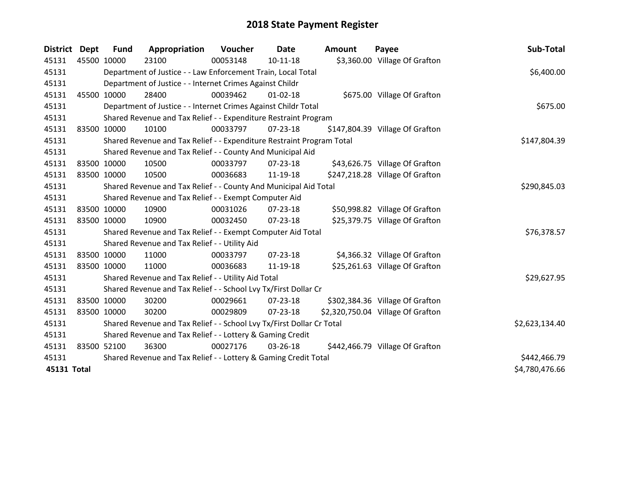| District Dept | Fund        | Appropriation                                                         | Voucher  | Date           | <b>Amount</b> | Payee                             | Sub-Total      |
|---------------|-------------|-----------------------------------------------------------------------|----------|----------------|---------------|-----------------------------------|----------------|
| 45131         | 45500 10000 | 23100                                                                 | 00053148 | $10 - 11 - 18$ |               | \$3,360.00 Village Of Grafton     |                |
| 45131         |             | Department of Justice - - Law Enforcement Train, Local Total          |          |                |               |                                   | \$6,400.00     |
| 45131         |             | Department of Justice - - Internet Crimes Against Childr              |          |                |               |                                   |                |
| 45131         | 45500 10000 | 28400                                                                 | 00039462 | 01-02-18       |               | \$675.00 Village Of Grafton       |                |
| 45131         |             | Department of Justice - - Internet Crimes Against Childr Total        |          |                |               |                                   | \$675.00       |
| 45131         |             | Shared Revenue and Tax Relief - - Expenditure Restraint Program       |          |                |               |                                   |                |
| 45131         | 83500 10000 | 10100                                                                 | 00033797 | $07 - 23 - 18$ |               | \$147,804.39 Village Of Grafton   |                |
| 45131         |             | Shared Revenue and Tax Relief - - Expenditure Restraint Program Total |          |                |               |                                   | \$147,804.39   |
| 45131         |             | Shared Revenue and Tax Relief - - County And Municipal Aid            |          |                |               |                                   |                |
| 45131         | 83500 10000 | 10500                                                                 | 00033797 | 07-23-18       |               | \$43,626.75 Village Of Grafton    |                |
| 45131         | 83500 10000 | 10500                                                                 | 00036683 | 11-19-18       |               | \$247,218.28 Village Of Grafton   |                |
| 45131         |             | Shared Revenue and Tax Relief - - County And Municipal Aid Total      |          |                |               |                                   | \$290,845.03   |
| 45131         |             | Shared Revenue and Tax Relief - - Exempt Computer Aid                 |          |                |               |                                   |                |
| 45131         | 83500 10000 | 10900                                                                 | 00031026 | 07-23-18       |               | \$50,998.82 Village Of Grafton    |                |
| 45131         | 83500 10000 | 10900                                                                 | 00032450 | 07-23-18       |               | \$25,379.75 Village Of Grafton    |                |
| 45131         |             | Shared Revenue and Tax Relief - - Exempt Computer Aid Total           |          |                |               |                                   | \$76,378.57    |
| 45131         |             | Shared Revenue and Tax Relief - - Utility Aid                         |          |                |               |                                   |                |
| 45131         | 83500 10000 | 11000                                                                 | 00033797 | 07-23-18       |               | \$4,366.32 Village Of Grafton     |                |
| 45131         | 83500 10000 | 11000                                                                 | 00036683 | 11-19-18       |               | \$25,261.63 Village Of Grafton    |                |
| 45131         |             | Shared Revenue and Tax Relief - - Utility Aid Total                   |          |                |               |                                   | \$29,627.95    |
| 45131         |             | Shared Revenue and Tax Relief - - School Lvy Tx/First Dollar Cr       |          |                |               |                                   |                |
| 45131         | 83500 10000 | 30200                                                                 | 00029661 | 07-23-18       |               | \$302,384.36 Village Of Grafton   |                |
| 45131         | 83500 10000 | 30200                                                                 | 00029809 | $07 - 23 - 18$ |               | \$2,320,750.04 Village Of Grafton |                |
| 45131         |             | Shared Revenue and Tax Relief - - School Lvy Tx/First Dollar Cr Total |          |                |               |                                   | \$2,623,134.40 |
| 45131         |             | Shared Revenue and Tax Relief - - Lottery & Gaming Credit             |          |                |               |                                   |                |
| 45131         | 83500 52100 | 36300                                                                 | 00027176 | 03-26-18       |               | \$442,466.79 Village Of Grafton   |                |
| 45131         |             | Shared Revenue and Tax Relief - - Lottery & Gaming Credit Total       |          |                |               |                                   | \$442,466.79   |
| 45131 Total   |             |                                                                       |          |                |               |                                   | \$4,780,476.66 |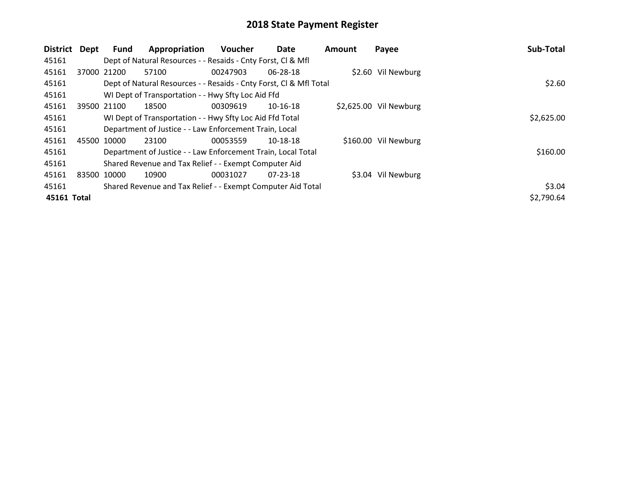| District    | Dept        | Fund                                               | Appropriation                                                      | <b>Voucher</b> | Date           | <b>Amount</b> | Payee                  | Sub-Total  |
|-------------|-------------|----------------------------------------------------|--------------------------------------------------------------------|----------------|----------------|---------------|------------------------|------------|
| 45161       |             |                                                    | Dept of Natural Resources - - Resaids - Cnty Forst, CI & Mfl       |                |                |               |                        |            |
| 45161       |             | 37000 21200                                        | 57100                                                              | 00247903       | 06-28-18       |               | \$2.60 Vil Newburg     |            |
| 45161       |             |                                                    | Dept of Natural Resources - - Resaids - Cnty Forst, CI & Mfl Total |                |                |               |                        | \$2.60     |
| 45161       |             | WI Dept of Transportation - - Hwy Sfty Loc Aid Ffd |                                                                    |                |                |               |                        |            |
| 45161       |             | 39500 21100                                        | 18500                                                              | 00309619       | $10-16-18$     |               | \$2,625.00 Vil Newburg |            |
| 45161       |             |                                                    | WI Dept of Transportation - - Hwy Sfty Loc Aid Ffd Total           |                |                |               |                        | \$2,625.00 |
| 45161       |             |                                                    | Department of Justice - - Law Enforcement Train, Local             |                |                |               |                        |            |
| 45161       |             | 45500 10000                                        | 23100                                                              | 00053559       | 10-18-18       |               | \$160.00 Vil Newburg   |            |
| 45161       |             |                                                    | Department of Justice - - Law Enforcement Train, Local Total       |                |                |               |                        | \$160.00   |
| 45161       |             |                                                    | Shared Revenue and Tax Relief - - Exempt Computer Aid              |                |                |               |                        |            |
| 45161       | 83500 10000 |                                                    | 10900                                                              | 00031027       | $07 - 23 - 18$ |               | \$3.04 Vil Newburg     |            |
| 45161       |             |                                                    | Shared Revenue and Tax Relief - - Exempt Computer Aid Total        |                |                |               |                        | \$3.04     |
| 45161 Total |             |                                                    |                                                                    |                |                |               |                        | \$2,790.64 |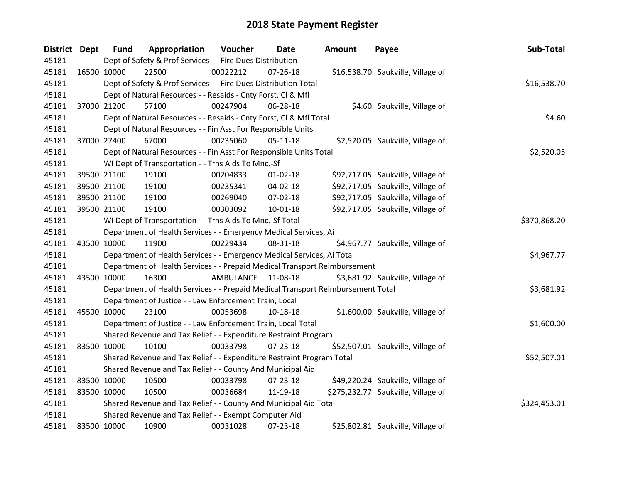| <b>District Dept</b> | <b>Fund</b> | Appropriation                                                                   | Voucher            | Date           | <b>Amount</b> | Payee                              | Sub-Total    |
|----------------------|-------------|---------------------------------------------------------------------------------|--------------------|----------------|---------------|------------------------------------|--------------|
| 45181                |             | Dept of Safety & Prof Services - - Fire Dues Distribution                       |                    |                |               |                                    |              |
| 45181                | 16500 10000 | 22500                                                                           | 00022212           | 07-26-18       |               | \$16,538.70 Saukville, Village of  |              |
| 45181                |             | Dept of Safety & Prof Services - - Fire Dues Distribution Total                 |                    |                |               |                                    | \$16,538.70  |
| 45181                |             | Dept of Natural Resources - - Resaids - Cnty Forst, CI & Mfl                    |                    |                |               |                                    |              |
| 45181                | 37000 21200 | 57100                                                                           | 00247904           | 06-28-18       |               | \$4.60 Saukville, Village of       |              |
| 45181                |             | Dept of Natural Resources - - Resaids - Cnty Forst, Cl & Mfl Total              |                    |                |               |                                    | \$4.60       |
| 45181                |             | Dept of Natural Resources - - Fin Asst For Responsible Units                    |                    |                |               |                                    |              |
| 45181                | 37000 27400 | 67000                                                                           | 00235060           | $05 - 11 - 18$ |               | \$2,520.05 Saukville, Village of   |              |
| 45181                |             | Dept of Natural Resources - - Fin Asst For Responsible Units Total              |                    |                |               |                                    | \$2,520.05   |
| 45181                |             | WI Dept of Transportation - - Trns Aids To Mnc.-Sf                              |                    |                |               |                                    |              |
| 45181                | 39500 21100 | 19100                                                                           | 00204833           | $01 - 02 - 18$ |               | \$92,717.05 Saukville, Village of  |              |
| 45181                | 39500 21100 | 19100                                                                           | 00235341           | 04-02-18       |               | \$92,717.05 Saukville, Village of  |              |
| 45181                | 39500 21100 | 19100                                                                           | 00269040           | 07-02-18       |               | \$92,717.05 Saukville, Village of  |              |
| 45181                | 39500 21100 | 19100                                                                           | 00303092           | 10-01-18       |               | \$92,717.05 Saukville, Village of  |              |
| 45181                |             | WI Dept of Transportation - - Trns Aids To Mnc.-Sf Total                        | \$370,868.20       |                |               |                                    |              |
| 45181                |             | Department of Health Services - - Emergency Medical Services, Ai                |                    |                |               |                                    |              |
| 45181                | 43500 10000 | 11900                                                                           | 00229434           | 08-31-18       |               | \$4,967.77 Saukville, Village of   |              |
| 45181                |             | Department of Health Services - - Emergency Medical Services, Ai Total          |                    |                |               |                                    | \$4,967.77   |
| 45181                |             | Department of Health Services - - Prepaid Medical Transport Reimbursement       |                    |                |               |                                    |              |
| 45181                | 43500 10000 | 16300                                                                           | AMBULANCE 11-08-18 |                |               | \$3,681.92 Saukville, Village of   |              |
| 45181                |             | Department of Health Services - - Prepaid Medical Transport Reimbursement Total |                    |                |               |                                    | \$3,681.92   |
| 45181                |             | Department of Justice - - Law Enforcement Train, Local                          |                    |                |               |                                    |              |
| 45181                | 45500 10000 | 23100                                                                           | 00053698           | 10-18-18       |               | \$1,600.00 Saukville, Village of   |              |
| 45181                |             | Department of Justice - - Law Enforcement Train, Local Total                    |                    |                |               |                                    | \$1,600.00   |
| 45181                |             | Shared Revenue and Tax Relief - - Expenditure Restraint Program                 |                    |                |               |                                    |              |
| 45181                | 83500 10000 | 10100                                                                           | 00033798           | $07 - 23 - 18$ |               | \$52,507.01 Saukville, Village of  |              |
| 45181                |             | Shared Revenue and Tax Relief - - Expenditure Restraint Program Total           |                    |                |               |                                    | \$52,507.01  |
| 45181                |             | Shared Revenue and Tax Relief - - County And Municipal Aid                      |                    |                |               |                                    |              |
| 45181                | 83500 10000 | 10500                                                                           | 00033798           | 07-23-18       |               | \$49,220.24 Saukville, Village of  |              |
| 45181                | 83500 10000 | 10500                                                                           | 00036684           | 11-19-18       |               | \$275,232.77 Saukville, Village of |              |
| 45181                |             | Shared Revenue and Tax Relief - - County And Municipal Aid Total                |                    |                |               |                                    | \$324,453.01 |
| 45181                |             | Shared Revenue and Tax Relief - - Exempt Computer Aid                           |                    |                |               |                                    |              |
| 45181                | 83500 10000 | 10900                                                                           | 00031028           | 07-23-18       |               | \$25,802.81 Saukville, Village of  |              |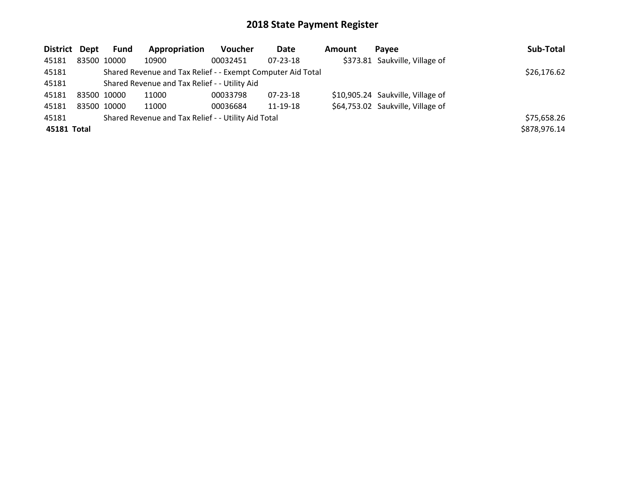| District Dept |             | Fund                                          | Appropriation                                               | <b>Voucher</b> | Date           | Amount | Pavee                             | Sub-Total    |
|---------------|-------------|-----------------------------------------------|-------------------------------------------------------------|----------------|----------------|--------|-----------------------------------|--------------|
| 45181         | 83500 10000 |                                               | 10900                                                       | 00032451       | $07 - 23 - 18$ |        | \$373.81 Saukville, Village of    |              |
| 45181         |             |                                               | Shared Revenue and Tax Relief - - Exempt Computer Aid Total |                |                |        |                                   | \$26,176.62  |
| 45181         |             | Shared Revenue and Tax Relief - - Utility Aid |                                                             |                |                |        |                                   |              |
| 45181         | 83500 10000 |                                               | 11000                                                       | 00033798       | 07-23-18       |        | \$10,905.24 Saukville, Village of |              |
| 45181         | 83500 10000 |                                               | 11000                                                       | 00036684       | 11-19-18       |        | \$64,753.02 Saukville, Village of |              |
| 45181         |             |                                               | Shared Revenue and Tax Relief - - Utility Aid Total         |                |                |        |                                   | \$75,658.26  |
| 45181 Total   |             |                                               |                                                             |                |                |        |                                   | \$878,976.14 |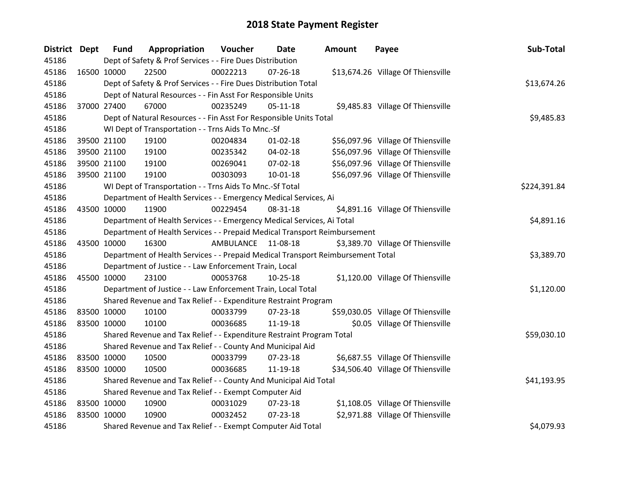| <b>District Dept</b> |             | <b>Fund</b> | Appropriation                                                                   | Voucher   | Date           | Amount | Payee                              | Sub-Total    |
|----------------------|-------------|-------------|---------------------------------------------------------------------------------|-----------|----------------|--------|------------------------------------|--------------|
| 45186                |             |             | Dept of Safety & Prof Services - - Fire Dues Distribution                       |           |                |        |                                    |              |
| 45186                |             | 16500 10000 | 22500                                                                           | 00022213  | $07 - 26 - 18$ |        | \$13,674.26 Village Of Thiensville |              |
| 45186                |             |             | Dept of Safety & Prof Services - - Fire Dues Distribution Total                 |           |                |        |                                    | \$13,674.26  |
| 45186                |             |             | Dept of Natural Resources - - Fin Asst For Responsible Units                    |           |                |        |                                    |              |
| 45186                |             | 37000 27400 | 67000                                                                           | 00235249  | $05-11-18$     |        | \$9,485.83 Village Of Thiensville  |              |
| 45186                |             |             | Dept of Natural Resources - - Fin Asst For Responsible Units Total              |           |                |        |                                    | \$9,485.83   |
| 45186                |             |             | WI Dept of Transportation - - Trns Aids To Mnc.-Sf                              |           |                |        |                                    |              |
| 45186                |             | 39500 21100 | 19100                                                                           | 00204834  | $01 - 02 - 18$ |        | \$56,097.96 Village Of Thiensville |              |
| 45186                |             | 39500 21100 | 19100                                                                           | 00235342  | 04-02-18       |        | \$56,097.96 Village Of Thiensville |              |
| 45186                |             | 39500 21100 | 19100                                                                           | 00269041  | $07 - 02 - 18$ |        | \$56,097.96 Village Of Thiensville |              |
| 45186                |             | 39500 21100 | 19100                                                                           | 00303093  | $10 - 01 - 18$ |        | \$56,097.96 Village Of Thiensville |              |
| 45186                |             |             | WI Dept of Transportation - - Trns Aids To Mnc.-Sf Total                        |           |                |        |                                    | \$224,391.84 |
| 45186                |             |             | Department of Health Services - - Emergency Medical Services, Ai                |           |                |        |                                    |              |
| 45186                | 43500 10000 |             | 11900                                                                           | 00229454  | 08-31-18       |        | \$4,891.16 Village Of Thiensville  |              |
| 45186                |             |             | Department of Health Services - - Emergency Medical Services, Ai Total          |           |                |        |                                    | \$4,891.16   |
| 45186                |             |             | Department of Health Services - - Prepaid Medical Transport Reimbursement       |           |                |        |                                    |              |
| 45186                |             | 43500 10000 | 16300                                                                           | AMBULANCE | 11-08-18       |        | \$3,389.70 Village Of Thiensville  |              |
| 45186                |             |             | Department of Health Services - - Prepaid Medical Transport Reimbursement Total |           |                |        |                                    | \$3,389.70   |
| 45186                |             |             | Department of Justice - - Law Enforcement Train, Local                          |           |                |        |                                    |              |
| 45186                |             | 45500 10000 | 23100                                                                           | 00053768  | $10-25-18$     |        | \$1,120.00 Village Of Thiensville  |              |
| 45186                |             |             | Department of Justice - - Law Enforcement Train, Local Total                    |           |                |        |                                    | \$1,120.00   |
| 45186                |             |             | Shared Revenue and Tax Relief - - Expenditure Restraint Program                 |           |                |        |                                    |              |
| 45186                |             | 83500 10000 | 10100                                                                           | 00033799  | 07-23-18       |        | \$59,030.05 Village Of Thiensville |              |
| 45186                |             | 83500 10000 | 10100                                                                           | 00036685  | 11-19-18       |        | \$0.05 Village Of Thiensville      |              |
| 45186                |             |             | Shared Revenue and Tax Relief - - Expenditure Restraint Program Total           |           |                |        |                                    | \$59,030.10  |
| 45186                |             |             | Shared Revenue and Tax Relief - - County And Municipal Aid                      |           |                |        |                                    |              |
| 45186                | 83500 10000 |             | 10500                                                                           | 00033799  | $07 - 23 - 18$ |        | \$6,687.55 Village Of Thiensville  |              |
| 45186                |             | 83500 10000 | 10500                                                                           | 00036685  | 11-19-18       |        | \$34,506.40 Village Of Thiensville |              |
| 45186                |             |             | Shared Revenue and Tax Relief - - County And Municipal Aid Total                |           |                |        |                                    | \$41,193.95  |
| 45186                |             |             | Shared Revenue and Tax Relief - - Exempt Computer Aid                           |           |                |        |                                    |              |
| 45186                | 83500 10000 |             | 10900                                                                           | 00031029  | $07 - 23 - 18$ |        | \$1,108.05 Village Of Thiensville  |              |
| 45186                |             | 83500 10000 | 10900                                                                           | 00032452  | 07-23-18       |        | \$2,971.88 Village Of Thiensville  |              |
| 45186                |             |             | Shared Revenue and Tax Relief - - Exempt Computer Aid Total                     |           |                |        |                                    | \$4,079.93   |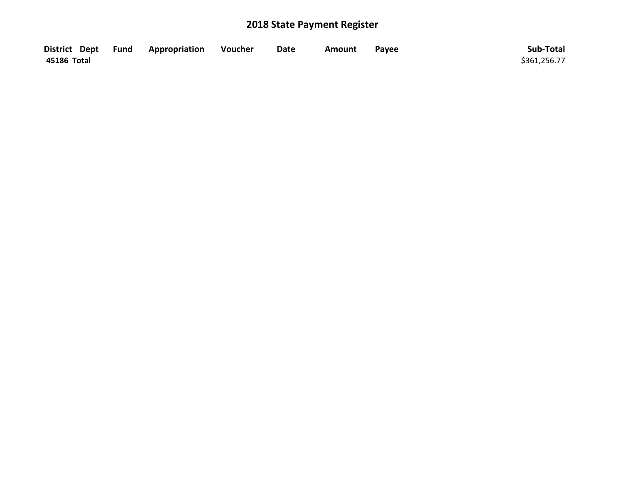|             | District Dept Fund Appropriation | Voucher | <b>Date</b> | Amount | Payee | Sub-Total    |
|-------------|----------------------------------|---------|-------------|--------|-------|--------------|
| 45186 Total |                                  |         |             |        |       | \$361,256.77 |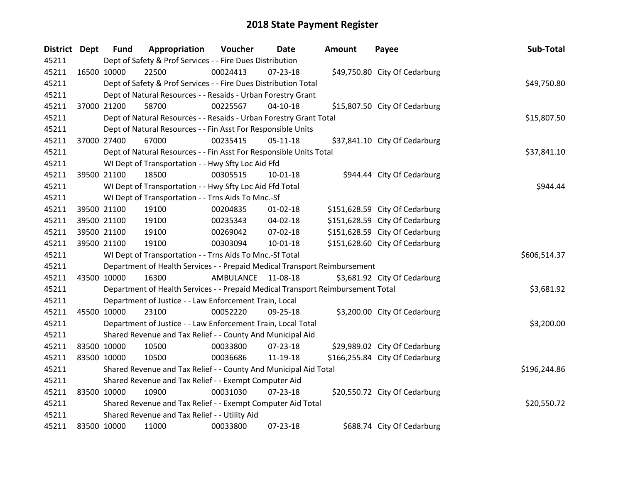| <b>District Dept</b> |             | <b>Fund</b> | Appropriation                                                                   | Voucher            | Date           | Amount | Payee                          | Sub-Total    |
|----------------------|-------------|-------------|---------------------------------------------------------------------------------|--------------------|----------------|--------|--------------------------------|--------------|
| 45211                |             |             | Dept of Safety & Prof Services - - Fire Dues Distribution                       |                    |                |        |                                |              |
| 45211                |             | 16500 10000 | 22500                                                                           | 00024413           | 07-23-18       |        | \$49,750.80 City Of Cedarburg  |              |
| 45211                |             |             | Dept of Safety & Prof Services - - Fire Dues Distribution Total                 |                    |                |        |                                | \$49,750.80  |
| 45211                |             |             | Dept of Natural Resources - - Resaids - Urban Forestry Grant                    |                    |                |        |                                |              |
| 45211                |             | 37000 21200 | 58700                                                                           | 00225567           | $04-10-18$     |        | \$15,807.50 City Of Cedarburg  |              |
| 45211                |             |             | Dept of Natural Resources - - Resaids - Urban Forestry Grant Total              |                    |                |        |                                | \$15,807.50  |
| 45211                |             |             | Dept of Natural Resources - - Fin Asst For Responsible Units                    |                    |                |        |                                |              |
| 45211                |             | 37000 27400 | 67000                                                                           | 00235415           | $05 - 11 - 18$ |        | \$37,841.10 City Of Cedarburg  |              |
| 45211                |             |             | Dept of Natural Resources - - Fin Asst For Responsible Units Total              |                    |                |        |                                | \$37,841.10  |
| 45211                |             |             | WI Dept of Transportation - - Hwy Sfty Loc Aid Ffd                              |                    |                |        |                                |              |
| 45211                |             | 39500 21100 | 18500                                                                           | 00305515           | 10-01-18       |        | \$944.44 City Of Cedarburg     |              |
| 45211                |             |             | WI Dept of Transportation - - Hwy Sfty Loc Aid Ffd Total                        |                    |                |        |                                | \$944.44     |
| 45211                |             |             | WI Dept of Transportation - - Trns Aids To Mnc.-Sf                              |                    |                |        |                                |              |
| 45211                |             | 39500 21100 | 19100                                                                           | 00204835           | $01 - 02 - 18$ |        | \$151,628.59 City Of Cedarburg |              |
| 45211                |             | 39500 21100 | 19100                                                                           | 00235343           | 04-02-18       |        | \$151,628.59 City Of Cedarburg |              |
| 45211                |             | 39500 21100 | 19100                                                                           | 00269042           | 07-02-18       |        | \$151,628.59 City Of Cedarburg |              |
| 45211                |             | 39500 21100 | 19100                                                                           | 00303094           | $10 - 01 - 18$ |        | \$151,628.60 City Of Cedarburg |              |
| 45211                |             |             | WI Dept of Transportation - - Trns Aids To Mnc.-Sf Total                        |                    |                |        |                                | \$606,514.37 |
| 45211                |             |             | Department of Health Services - - Prepaid Medical Transport Reimbursement       |                    |                |        |                                |              |
| 45211                |             | 43500 10000 | 16300                                                                           | AMBULANCE 11-08-18 |                |        | \$3,681.92 City Of Cedarburg   |              |
| 45211                |             |             | Department of Health Services - - Prepaid Medical Transport Reimbursement Total |                    |                |        |                                | \$3,681.92   |
| 45211                |             |             | Department of Justice - - Law Enforcement Train, Local                          |                    |                |        |                                |              |
| 45211                |             | 45500 10000 | 23100                                                                           | 00052220           | 09-25-18       |        | \$3,200.00 City Of Cedarburg   |              |
| 45211                |             |             | Department of Justice - - Law Enforcement Train, Local Total                    |                    |                |        |                                | \$3,200.00   |
| 45211                |             |             | Shared Revenue and Tax Relief - - County And Municipal Aid                      |                    |                |        |                                |              |
| 45211                |             | 83500 10000 | 10500                                                                           | 00033800           | 07-23-18       |        | \$29,989.02 City Of Cedarburg  |              |
| 45211                |             | 83500 10000 | 10500                                                                           | 00036686           | 11-19-18       |        | \$166,255.84 City Of Cedarburg |              |
| 45211                |             |             | Shared Revenue and Tax Relief - - County And Municipal Aid Total                |                    |                |        |                                | \$196,244.86 |
| 45211                |             |             | Shared Revenue and Tax Relief - - Exempt Computer Aid                           |                    |                |        |                                |              |
| 45211                | 83500 10000 |             | 10900                                                                           | 00031030           | 07-23-18       |        | \$20,550.72 City Of Cedarburg  |              |
| 45211                |             |             | Shared Revenue and Tax Relief - - Exempt Computer Aid Total                     |                    |                |        |                                | \$20,550.72  |
| 45211                |             |             | Shared Revenue and Tax Relief - - Utility Aid                                   |                    |                |        |                                |              |
| 45211                | 83500 10000 |             | 11000                                                                           | 00033800           | 07-23-18       |        | \$688.74 City Of Cedarburg     |              |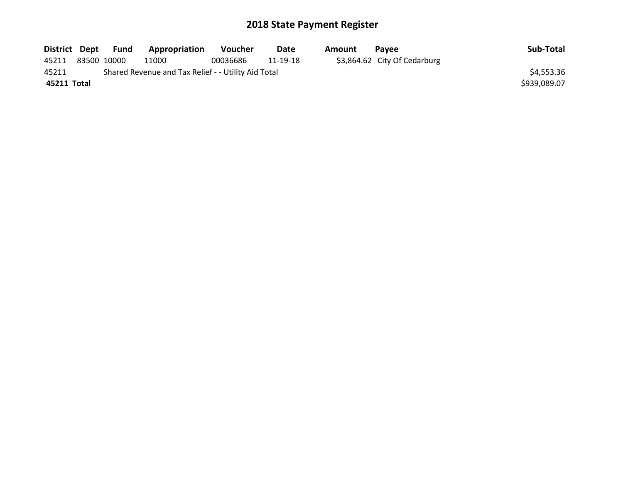|             |             | District Dept Fund | Appropriation                                       | <b>Voucher</b> | Date     | Amount | <b>Pavee</b>                 | Sub-Total    |
|-------------|-------------|--------------------|-----------------------------------------------------|----------------|----------|--------|------------------------------|--------------|
| 45211       | 83500 10000 |                    | 11000                                               | 00036686       | 11-19-18 |        | \$3,864.62 City Of Cedarburg |              |
| 45211       |             |                    | Shared Revenue and Tax Relief - - Utility Aid Total |                |          |        |                              | \$4,553.36   |
| 45211 Total |             |                    |                                                     |                |          |        |                              | \$939,089.07 |
|             |             |                    |                                                     |                |          |        |                              |              |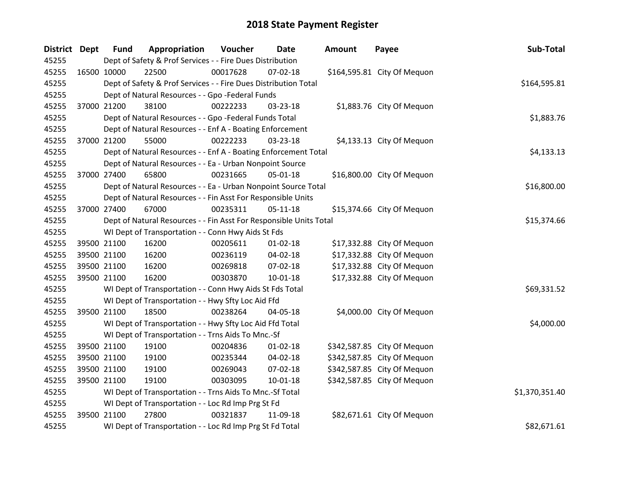| <b>District Dept</b> | <b>Fund</b> | Appropriation                                                      | Voucher     | Date           | Amount | Payee                       | Sub-Total      |
|----------------------|-------------|--------------------------------------------------------------------|-------------|----------------|--------|-----------------------------|----------------|
| 45255                |             | Dept of Safety & Prof Services - - Fire Dues Distribution          |             |                |        |                             |                |
| 45255                | 16500 10000 | 22500                                                              | 00017628    | 07-02-18       |        | \$164,595.81 City Of Mequon |                |
| 45255                |             | Dept of Safety & Prof Services - - Fire Dues Distribution Total    |             |                |        |                             | \$164,595.81   |
| 45255                |             | Dept of Natural Resources - - Gpo -Federal Funds                   |             |                |        |                             |                |
| 45255                | 37000 21200 | 38100                                                              | 00222233    | 03-23-18       |        | \$1,883.76 City Of Mequon   |                |
| 45255                |             | Dept of Natural Resources - - Gpo -Federal Funds Total             |             |                |        |                             | \$1,883.76     |
| 45255                |             | Dept of Natural Resources - - Enf A - Boating Enforcement          |             |                |        |                             |                |
| 45255                | 37000 21200 | 55000                                                              | 00222233    | 03-23-18       |        | \$4,133.13 City Of Mequon   |                |
| 45255                |             | Dept of Natural Resources - - Enf A - Boating Enforcement Total    |             |                |        |                             | \$4,133.13     |
| 45255                |             | Dept of Natural Resources - - Ea - Urban Nonpoint Source           |             |                |        |                             |                |
| 45255                | 37000 27400 | 65800                                                              | 00231665    | 05-01-18       |        | \$16,800.00 City Of Mequon  |                |
| 45255                |             | Dept of Natural Resources - - Ea - Urban Nonpoint Source Total     |             |                |        |                             | \$16,800.00    |
| 45255                |             | Dept of Natural Resources - - Fin Asst For Responsible Units       |             |                |        |                             |                |
| 45255                | 37000 27400 | 67000                                                              | 00235311    | $05 - 11 - 18$ |        | \$15,374.66 City Of Mequon  |                |
| 45255                |             | Dept of Natural Resources - - Fin Asst For Responsible Units Total | \$15,374.66 |                |        |                             |                |
| 45255                |             | WI Dept of Transportation - - Conn Hwy Aids St Fds                 |             |                |        |                             |                |
| 45255                | 39500 21100 | 16200                                                              | 00205611    | $01 - 02 - 18$ |        | \$17,332.88 City Of Mequon  |                |
| 45255                | 39500 21100 | 16200                                                              | 00236119    | 04-02-18       |        | \$17,332.88 City Of Mequon  |                |
| 45255                | 39500 21100 | 16200                                                              | 00269818    | 07-02-18       |        | \$17,332.88 City Of Mequon  |                |
| 45255                | 39500 21100 | 16200                                                              | 00303870    | $10 - 01 - 18$ |        | \$17,332.88 City Of Mequon  |                |
| 45255                |             | WI Dept of Transportation - - Conn Hwy Aids St Fds Total           |             |                |        |                             | \$69,331.52    |
| 45255                |             | WI Dept of Transportation - - Hwy Sfty Loc Aid Ffd                 |             |                |        |                             |                |
| 45255                | 39500 21100 | 18500                                                              | 00238264    | 04-05-18       |        | \$4,000.00 City Of Mequon   |                |
| 45255                |             | WI Dept of Transportation - - Hwy Sfty Loc Aid Ffd Total           |             |                |        |                             | \$4,000.00     |
| 45255                |             | WI Dept of Transportation - - Trns Aids To Mnc.-Sf                 |             |                |        |                             |                |
| 45255                | 39500 21100 | 19100                                                              | 00204836    | $01 - 02 - 18$ |        | \$342,587.85 City Of Mequon |                |
| 45255                | 39500 21100 | 19100                                                              | 00235344    | 04-02-18       |        | \$342,587.85 City Of Mequon |                |
| 45255                | 39500 21100 | 19100                                                              | 00269043    | 07-02-18       |        | \$342,587.85 City Of Mequon |                |
| 45255                | 39500 21100 | 19100                                                              | 00303095    | $10 - 01 - 18$ |        | \$342,587.85 City Of Mequon |                |
| 45255                |             | WI Dept of Transportation - - Trns Aids To Mnc.-Sf Total           |             |                |        |                             | \$1,370,351.40 |
| 45255                |             | WI Dept of Transportation - - Loc Rd Imp Prg St Fd                 |             |                |        |                             |                |
| 45255                | 39500 21100 | 27800                                                              | 00321837    | 11-09-18       |        | \$82,671.61 City Of Mequon  |                |
| 45255                |             | WI Dept of Transportation - - Loc Rd Imp Prg St Fd Total           |             |                |        |                             | \$82,671.61    |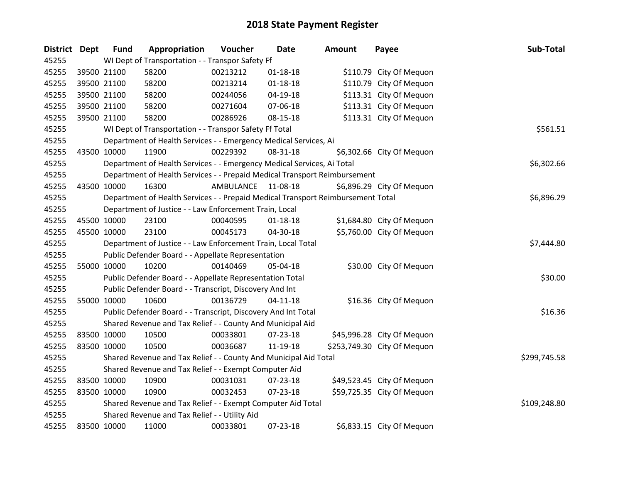| <b>District Dept</b> | <b>Fund</b> | Appropriation                                                                   | Voucher   | Date           | Amount | Payee                       | Sub-Total    |
|----------------------|-------------|---------------------------------------------------------------------------------|-----------|----------------|--------|-----------------------------|--------------|
| 45255                |             | WI Dept of Transportation - - Transpor Safety Ff                                |           |                |        |                             |              |
| 45255                | 39500 21100 | 58200                                                                           | 00213212  | $01 - 18 - 18$ |        | \$110.79 City Of Mequon     |              |
| 45255                | 39500 21100 | 58200                                                                           | 00213214  | $01 - 18 - 18$ |        | \$110.79 City Of Mequon     |              |
| 45255                | 39500 21100 | 58200                                                                           | 00244056  | 04-19-18       |        | \$113.31 City Of Mequon     |              |
| 45255                | 39500 21100 | 58200                                                                           | 00271604  | 07-06-18       |        | \$113.31 City Of Mequon     |              |
| 45255                | 39500 21100 | 58200                                                                           | 00286926  | 08-15-18       |        | \$113.31 City Of Mequon     |              |
| 45255                |             | WI Dept of Transportation - - Transpor Safety Ff Total                          |           |                |        |                             | \$561.51     |
| 45255                |             | Department of Health Services - - Emergency Medical Services, Ai                |           |                |        |                             |              |
| 45255                | 43500 10000 | 11900                                                                           | 00229392  | 08-31-18       |        | \$6,302.66 City Of Mequon   |              |
| 45255                |             | Department of Health Services - - Emergency Medical Services, Ai Total          |           |                |        |                             | \$6,302.66   |
| 45255                |             | Department of Health Services - - Prepaid Medical Transport Reimbursement       |           |                |        |                             |              |
| 45255                | 43500 10000 | 16300                                                                           | AMBULANCE | 11-08-18       |        | \$6,896.29 City Of Mequon   |              |
| 45255                |             | Department of Health Services - - Prepaid Medical Transport Reimbursement Total |           |                |        |                             | \$6,896.29   |
| 45255                |             | Department of Justice - - Law Enforcement Train, Local                          |           |                |        |                             |              |
| 45255                | 45500 10000 | 23100                                                                           | 00040595  | $01 - 18 - 18$ |        | \$1,684.80 City Of Mequon   |              |
| 45255                | 45500 10000 | 23100                                                                           | 00045173  | 04-30-18       |        | \$5,760.00 City Of Mequon   |              |
| 45255                |             | Department of Justice - - Law Enforcement Train, Local Total                    |           |                |        |                             | \$7,444.80   |
| 45255                |             | Public Defender Board - - Appellate Representation                              |           |                |        |                             |              |
| 45255                | 55000 10000 | 10200                                                                           | 00140469  | 05-04-18       |        | \$30.00 City Of Mequon      |              |
| 45255                |             | Public Defender Board - - Appellate Representation Total                        |           |                |        |                             | \$30.00      |
| 45255                |             | Public Defender Board - - Transcript, Discovery And Int                         |           |                |        |                             |              |
| 45255                | 55000 10000 | 10600                                                                           | 00136729  | 04-11-18       |        | \$16.36 City Of Mequon      |              |
| 45255                |             | Public Defender Board - - Transcript, Discovery And Int Total                   |           |                |        |                             | \$16.36      |
| 45255                |             | Shared Revenue and Tax Relief - - County And Municipal Aid                      |           |                |        |                             |              |
| 45255                | 83500 10000 | 10500                                                                           | 00033801  | 07-23-18       |        | \$45,996.28 City Of Mequon  |              |
| 45255                | 83500 10000 | 10500                                                                           | 00036687  | 11-19-18       |        | \$253,749.30 City Of Mequon |              |
| 45255                |             | Shared Revenue and Tax Relief - - County And Municipal Aid Total                |           |                |        |                             | \$299,745.58 |
| 45255                |             | Shared Revenue and Tax Relief - - Exempt Computer Aid                           |           |                |        |                             |              |
| 45255                | 83500 10000 | 10900                                                                           | 00031031  | 07-23-18       |        | \$49,523.45 City Of Mequon  |              |
| 45255                | 83500 10000 | 10900                                                                           | 00032453  | 07-23-18       |        | \$59,725.35 City Of Mequon  |              |
| 45255                |             | Shared Revenue and Tax Relief - - Exempt Computer Aid Total                     |           |                |        |                             | \$109,248.80 |
| 45255                |             | Shared Revenue and Tax Relief - - Utility Aid                                   |           |                |        |                             |              |
| 45255                | 83500 10000 | 11000                                                                           | 00033801  | 07-23-18       |        | \$6,833.15 City Of Mequon   |              |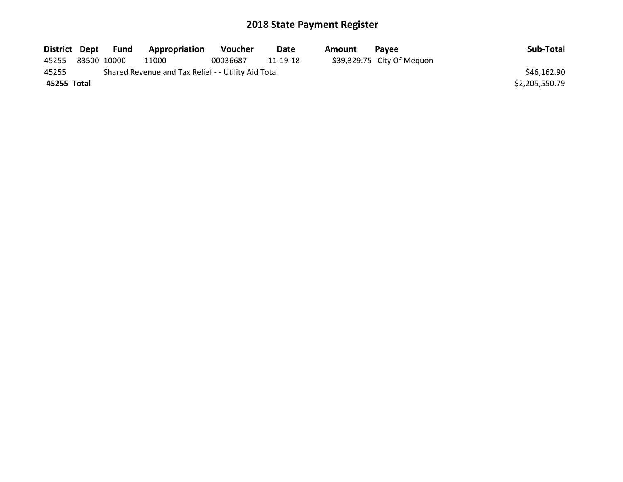| District Dept | Fund        | Appropriation                                       | <b>Voucher</b> | Date     | Amount | <b>Pavee</b>               | Sub-Total      |
|---------------|-------------|-----------------------------------------------------|----------------|----------|--------|----------------------------|----------------|
| 45255         | 83500 10000 | 11000                                               | 00036687       | 11-19-18 |        | \$39,329.75 City Of Mequon |                |
| 45255         |             | Shared Revenue and Tax Relief - - Utility Aid Total |                |          |        |                            | \$46,162.90    |
| 45255 Total   |             |                                                     |                |          |        |                            | \$2,205,550.79 |
|               |             |                                                     |                |          |        |                            |                |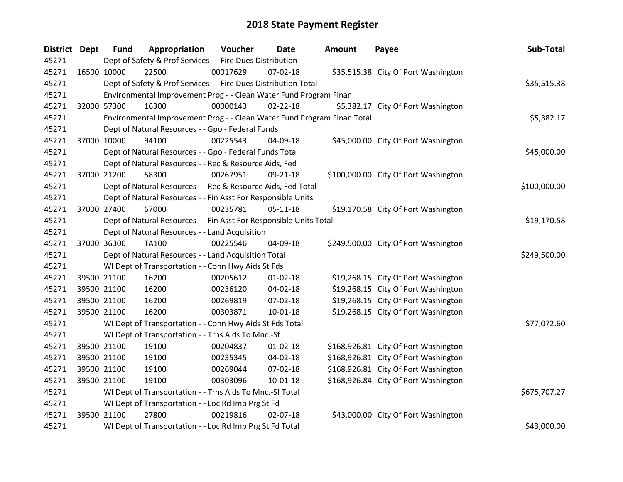| <b>District Dept</b> | <b>Fund</b>                                               | Appropriation                                                           | Voucher  | Date           | <b>Amount</b> | Payee                                | Sub-Total    |
|----------------------|-----------------------------------------------------------|-------------------------------------------------------------------------|----------|----------------|---------------|--------------------------------------|--------------|
| 45271                | Dept of Safety & Prof Services - - Fire Dues Distribution |                                                                         |          |                |               |                                      |              |
| 45271                | 16500 10000                                               | 22500                                                                   | 00017629 | 07-02-18       |               | \$35,515.38 City Of Port Washington  |              |
| 45271                |                                                           | Dept of Safety & Prof Services - - Fire Dues Distribution Total         |          |                |               |                                      | \$35,515.38  |
| 45271                |                                                           | Environmental Improvement Prog - - Clean Water Fund Program Finan       |          |                |               |                                      |              |
| 45271                | 32000 57300                                               | 16300                                                                   | 00000143 | $02 - 22 - 18$ |               | \$5,382.17 City Of Port Washington   |              |
| 45271                |                                                           | Environmental Improvement Prog - - Clean Water Fund Program Finan Total |          |                |               |                                      | \$5,382.17   |
| 45271                |                                                           | Dept of Natural Resources - - Gpo - Federal Funds                       |          |                |               |                                      |              |
| 45271                | 37000 10000                                               | 94100                                                                   | 00225543 | 04-09-18       |               | \$45,000.00 City Of Port Washington  |              |
| 45271                |                                                           | Dept of Natural Resources - - Gpo - Federal Funds Total                 |          |                |               |                                      | \$45,000.00  |
| 45271                |                                                           | Dept of Natural Resources - - Rec & Resource Aids, Fed                  |          |                |               |                                      |              |
| 45271                | 37000 21200                                               | 58300                                                                   | 00267951 | 09-21-18       |               | \$100,000.00 City Of Port Washington |              |
| 45271                |                                                           | Dept of Natural Resources - - Rec & Resource Aids, Fed Total            |          |                |               |                                      | \$100,000.00 |
| 45271                |                                                           | Dept of Natural Resources - - Fin Asst For Responsible Units            |          |                |               |                                      |              |
| 45271                | 37000 27400                                               | 67000                                                                   | 00235781 | $05-11-18$     |               | \$19,170.58 City Of Port Washington  |              |
| 45271                |                                                           | Dept of Natural Resources - - Fin Asst For Responsible Units Total      |          |                |               |                                      | \$19,170.58  |
| 45271                |                                                           | Dept of Natural Resources - - Land Acquisition                          |          |                |               |                                      |              |
| 45271                | 37000 36300                                               | <b>TA100</b>                                                            | 00225546 | 04-09-18       |               | \$249,500.00 City Of Port Washington |              |
| 45271                |                                                           | Dept of Natural Resources - - Land Acquisition Total                    |          |                |               |                                      | \$249,500.00 |
| 45271                |                                                           | WI Dept of Transportation - - Conn Hwy Aids St Fds                      |          |                |               |                                      |              |
| 45271                | 39500 21100                                               | 16200                                                                   | 00205612 | $01 - 02 - 18$ |               | \$19,268.15 City Of Port Washington  |              |
| 45271                | 39500 21100                                               | 16200                                                                   | 00236120 | 04-02-18       |               | \$19,268.15 City Of Port Washington  |              |
| 45271                | 39500 21100                                               | 16200                                                                   | 00269819 | 07-02-18       |               | \$19,268.15 City Of Port Washington  |              |
| 45271                | 39500 21100                                               | 16200                                                                   | 00303871 | 10-01-18       |               | \$19,268.15 City Of Port Washington  |              |
| 45271                |                                                           | WI Dept of Transportation - - Conn Hwy Aids St Fds Total                |          |                |               |                                      | \$77,072.60  |
| 45271                |                                                           | WI Dept of Transportation - - Trns Aids To Mnc.-Sf                      |          |                |               |                                      |              |
| 45271                | 39500 21100                                               | 19100                                                                   | 00204837 | $01 - 02 - 18$ |               | \$168,926.81 City Of Port Washington |              |
| 45271                | 39500 21100                                               | 19100                                                                   | 00235345 | 04-02-18       |               | \$168,926.81 City Of Port Washington |              |
| 45271                | 39500 21100                                               | 19100                                                                   | 00269044 | 07-02-18       |               | \$168,926.81 City Of Port Washington |              |
| 45271                | 39500 21100                                               | 19100                                                                   | 00303096 | 10-01-18       |               | \$168,926.84 City Of Port Washington |              |
| 45271                |                                                           | WI Dept of Transportation - - Trns Aids To Mnc.-Sf Total                |          |                |               |                                      | \$675,707.27 |
| 45271                |                                                           | WI Dept of Transportation - - Loc Rd Imp Prg St Fd                      |          |                |               |                                      |              |
| 45271                | 39500 21100                                               | 27800                                                                   | 00219816 | 02-07-18       |               | \$43,000.00 City Of Port Washington  |              |
| 45271                |                                                           | WI Dept of Transportation - - Loc Rd Imp Prg St Fd Total                |          |                |               |                                      | \$43,000.00  |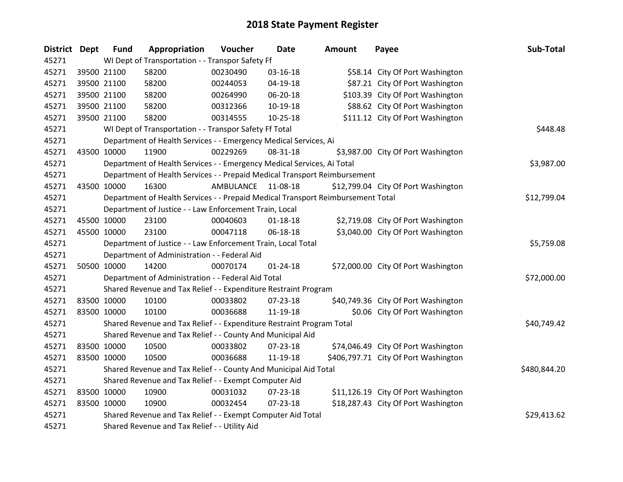| <b>District Dept</b> | <b>Fund</b>                                      | Appropriation                                                                   | Voucher   | Date           | Amount | Payee                                | Sub-Total    |
|----------------------|--------------------------------------------------|---------------------------------------------------------------------------------|-----------|----------------|--------|--------------------------------------|--------------|
| 45271                | WI Dept of Transportation - - Transpor Safety Ff |                                                                                 |           |                |        |                                      |              |
| 45271                | 39500 21100                                      | 58200                                                                           | 00230490  | 03-16-18       |        | \$58.14 City Of Port Washington      |              |
| 45271                | 39500 21100                                      | 58200                                                                           | 00244053  | 04-19-18       |        | \$87.21 City Of Port Washington      |              |
| 45271                | 39500 21100                                      | 58200                                                                           | 00264990  | 06-20-18       |        | \$103.39 City Of Port Washington     |              |
| 45271                | 39500 21100                                      | 58200                                                                           | 00312366  | 10-19-18       |        | \$88.62 City Of Port Washington      |              |
| 45271                | 39500 21100                                      | 58200                                                                           | 00314555  | 10-25-18       |        | \$111.12 City Of Port Washington     |              |
| 45271                |                                                  | WI Dept of Transportation - - Transpor Safety Ff Total                          |           |                |        |                                      | \$448.48     |
| 45271                |                                                  | Department of Health Services - - Emergency Medical Services, Ai                |           |                |        |                                      |              |
| 45271                | 43500 10000                                      | 11900                                                                           | 00229269  | 08-31-18       |        | \$3,987.00 City Of Port Washington   |              |
| 45271                |                                                  | Department of Health Services - - Emergency Medical Services, Ai Total          |           |                |        |                                      | \$3,987.00   |
| 45271                |                                                  | Department of Health Services - - Prepaid Medical Transport Reimbursement       |           |                |        |                                      |              |
| 45271                | 43500 10000                                      | 16300                                                                           | AMBULANCE | 11-08-18       |        | \$12,799.04 City Of Port Washington  |              |
| 45271                |                                                  | Department of Health Services - - Prepaid Medical Transport Reimbursement Total |           |                |        |                                      | \$12,799.04  |
| 45271                |                                                  | Department of Justice - - Law Enforcement Train, Local                          |           |                |        |                                      |              |
| 45271                | 45500 10000                                      | 23100                                                                           | 00040603  | $01 - 18 - 18$ |        | \$2,719.08 City Of Port Washington   |              |
| 45271                | 45500 10000                                      | 23100                                                                           | 00047118  | 06-18-18       |        | \$3,040.00 City Of Port Washington   |              |
| 45271                |                                                  | Department of Justice - - Law Enforcement Train, Local Total                    |           |                |        |                                      | \$5,759.08   |
| 45271                |                                                  | Department of Administration - - Federal Aid                                    |           |                |        |                                      |              |
| 45271                | 50500 10000                                      | 14200                                                                           | 00070174  | $01 - 24 - 18$ |        | \$72,000.00 City Of Port Washington  |              |
| 45271                |                                                  | Department of Administration - - Federal Aid Total                              |           |                |        |                                      | \$72,000.00  |
| 45271                |                                                  | Shared Revenue and Tax Relief - - Expenditure Restraint Program                 |           |                |        |                                      |              |
| 45271                | 83500 10000                                      | 10100                                                                           | 00033802  | 07-23-18       |        | \$40,749.36 City Of Port Washington  |              |
| 45271                | 83500 10000                                      | 10100                                                                           | 00036688  | 11-19-18       |        | \$0.06 City Of Port Washington       |              |
| 45271                |                                                  | Shared Revenue and Tax Relief - - Expenditure Restraint Program Total           |           |                |        |                                      | \$40,749.42  |
| 45271                |                                                  | Shared Revenue and Tax Relief - - County And Municipal Aid                      |           |                |        |                                      |              |
| 45271                | 83500 10000                                      | 10500                                                                           | 00033802  | 07-23-18       |        | \$74,046.49 City Of Port Washington  |              |
| 45271                | 83500 10000                                      | 10500                                                                           | 00036688  | 11-19-18       |        | \$406,797.71 City Of Port Washington |              |
| 45271                |                                                  | Shared Revenue and Tax Relief - - County And Municipal Aid Total                |           |                |        |                                      | \$480,844.20 |
| 45271                |                                                  | Shared Revenue and Tax Relief - - Exempt Computer Aid                           |           |                |        |                                      |              |
| 45271                | 83500 10000                                      | 10900                                                                           | 00031032  | 07-23-18       |        | \$11,126.19 City Of Port Washington  |              |
| 45271                | 83500 10000                                      | 10900                                                                           | 00032454  | $07 - 23 - 18$ |        | \$18,287.43 City Of Port Washington  |              |
| 45271                |                                                  | Shared Revenue and Tax Relief - - Exempt Computer Aid Total                     |           |                |        |                                      | \$29,413.62  |
| 45271                |                                                  | Shared Revenue and Tax Relief - - Utility Aid                                   |           |                |        |                                      |              |